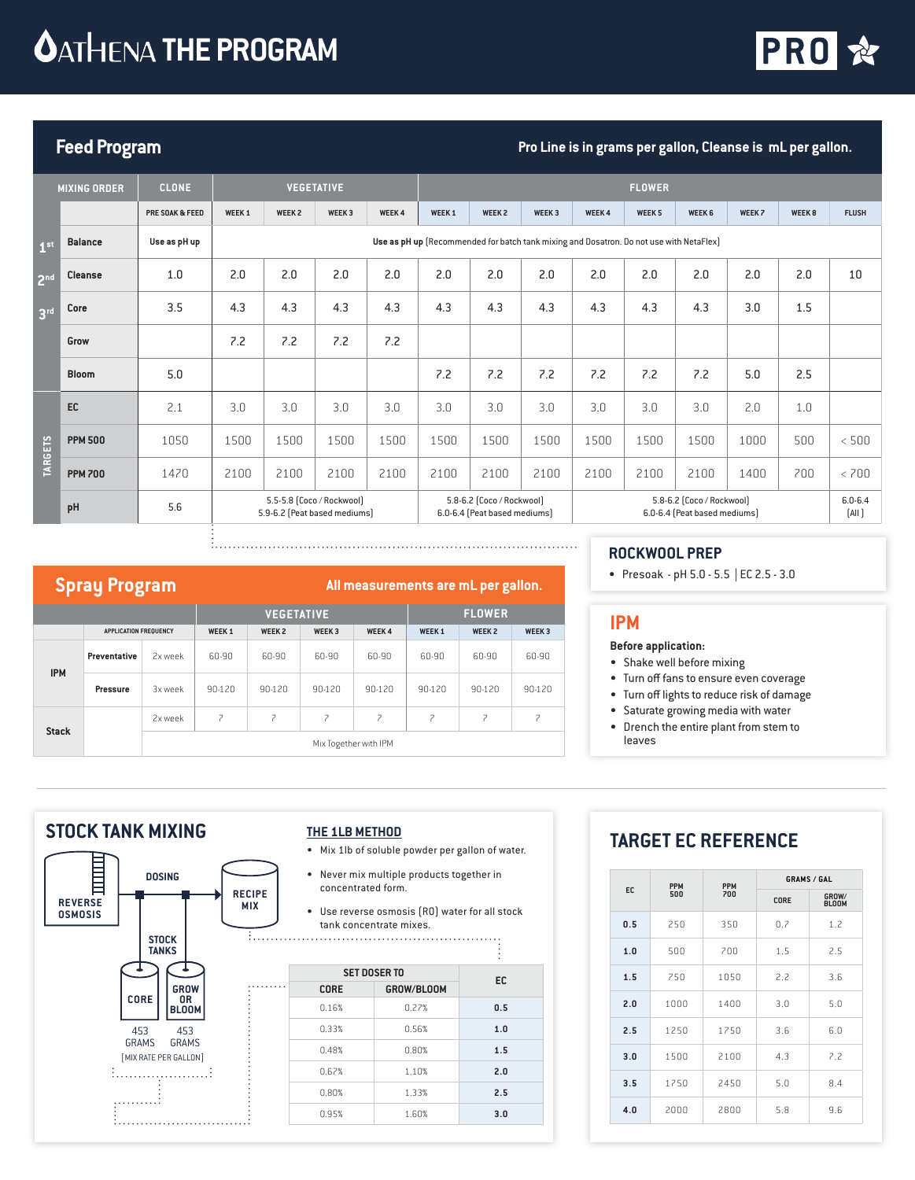# **OATHENA THE PROGRAM**



# **Feed Program Pro Line is in grams per gallon, Cleanse is mL per gallon.**

|                 | <b>MIXING ORDER</b> | <b>CLONE</b>    |                   |                                                                                         | <b>VEGETATIVE</b> |              |                   |                                                           |                   |              | <b>FLOWER</b>     |                                                           |        |                   |                      |
|-----------------|---------------------|-----------------|-------------------|-----------------------------------------------------------------------------------------|-------------------|--------------|-------------------|-----------------------------------------------------------|-------------------|--------------|-------------------|-----------------------------------------------------------|--------|-------------------|----------------------|
|                 |                     | PRE SOAK & FEED | WEEK <sub>1</sub> | WEEK <sub>2</sub>                                                                       | WEEK <sub>3</sub> | <b>WEEK4</b> | WEEK <sub>1</sub> | <b>WEEK 2</b>                                             | WEEK <sub>3</sub> | <b>WEEK4</b> | WEEK <sub>5</sub> | WEEK <sub>6</sub>                                         | WEEK 7 | WEEK <sub>8</sub> | <b>FLUSH</b>         |
| 1 <sup>st</sup> | <b>Balance</b>      | Use as pH up    |                   | Use as pH up [Recommended for batch tank mixing and Dosatron. Do not use with NetaFlex] |                   |              |                   |                                                           |                   |              |                   |                                                           |        |                   |                      |
| 2 <sup>nd</sup> | <b>Cleanse</b>      | 1.0             | 2.0               | 2.0                                                                                     | 2.0               | 2.0          | 2.0               | 2.0                                                       | 2.0               | 2.0          | 2.0               | 2.0                                                       | 2.0    | 2.0               | 10                   |
| 3 <sup>rd</sup> | Core                | 3.5             | 4.3               | 4.3                                                                                     | 4.3               | 4.3          | 4.3               | 4.3                                                       | 4.3               | 4.3          | 4.3               | 4.3                                                       | 3.0    | 1.5               |                      |
|                 | Grow                |                 | 7.2               | 7.2                                                                                     | 7.2               | 7.2          |                   |                                                           |                   |              |                   |                                                           |        |                   |                      |
|                 | <b>Bloom</b>        | 5.0             |                   |                                                                                         |                   |              | 7.2               | 7.2                                                       | 7.2               | 7.2          | 7.2               | 7.2                                                       | 5.0    | 2.5               |                      |
|                 | EC                  | 2.1             | 3.0               | 3.0                                                                                     | 3.0               | 3.0          | 3.0               | 3.0                                                       | 3.0               | 3.0          | 3.0               | 3.0                                                       | 2.0    | 1.0               |                      |
| <b>TARGETS</b>  | <b>PPM 500</b>      | 1050            | 1500              | 1500                                                                                    | 1500              | 1500         | 1500              | 1500                                                      | 1500              | 1500         | 1500              | 1500                                                      | 1000   | 500               | < 500                |
|                 | <b>PPM 700</b>      | 1470            | 2100              | 2100                                                                                    | 2100              | 2100         | 2100              | 2100                                                      | 2100              | 2100         | 2100              | 2100                                                      | 1400   | 700               | < 700                |
|                 | pH                  | 5.6             |                   | 5.5-5.8 (Coco / Rockwool)<br>5.9-6.2 (Peat based mediums)                               |                   |              |                   | 5.8-6.2 (Coco / Rockwool)<br>6.0-6.4 (Peat based mediums) |                   |              |                   | 5.8-6.2 [Coco / Rockwool]<br>6.0-6.4 (Peat based mediums) |        |                   | $6.0 - 6.4$<br>[All] |

# **Spray Program All measurements are mL per gallon.**

|              |                       |         |                       | <b>VEGETATIVE</b> |                   |              | <b>FLOWER</b> |                   |                   |  |  |
|--------------|-----------------------|---------|-----------------------|-------------------|-------------------|--------------|---------------|-------------------|-------------------|--|--|
|              | APPLICATION FREQUENCY |         | <b>WEEK 1</b>         | WEEK <sub>2</sub> | WEEK <sub>3</sub> | <b>WEEK4</b> | <b>WEEK1</b>  | WEEK <sub>2</sub> | WEEK <sub>3</sub> |  |  |
| <b>IPM</b>   | Preventative          | 2x week | 60-90                 | 60-90             | 60-90             | 60-90        | 60-90         | 60-90             | 60-90             |  |  |
|              | Pressure              | 3x week | 90-120                | 90-120            | 90-120            | 90-120       | 90-120        | 90-120            | 90-120            |  |  |
| <b>Stack</b> |                       | 2x week | 7                     | 7                 | 7                 | 7            | 7             | 7                 | フ                 |  |  |
|              |                       |         | Mix Together with IPM |                   |                   |              |               |                   |                   |  |  |

### **ROCKWOOL PREP**

• Presoak - pH 5.0 - 5.5 | EC 2.5 - 3.0

## **IPM**

#### **Before application:**

- Shake well before mixing
- Turn off fans to ensure even coverage
- Turn off lights to reduce risk of damage
- Saturate growing media with water
- Drench the entire plant from stem to leaves

## **STOCK TANK MIXING**



### **THE 1LB METHOD**

- Mix 1lb of soluble powder per gallon of water.
- Never mix multiple products together in concentrated form.
- Use reverse osmosis (RO) water for all stock  $\overline{\cdots}$  tank concentrate mixes.

|             | <b>SET DOSER TO</b> | EC  |
|-------------|---------------------|-----|
| <b>CORE</b> | GROW/BLOOM          |     |
| 0.16%       | 0.27%               | 0.5 |
| 0.33%       | 0.56%               | 1.0 |
| 0.48%       | 0.80%               | 1.5 |
| 0.67%       | 1.10%               | 2.0 |
| 0.80%       | 1.33%               | 2.5 |
| 0.95%       | 1.60%               | 3.0 |

# **TARGET EC REFERENCE**

|     | <b>PPM</b> | <b>PPM</b> |      | <b>GRAMS / GAL</b>    |
|-----|------------|------------|------|-----------------------|
| EC  | 500        | 700        | CORE | GROW/<br><b>BLOOM</b> |
| 0.5 | 250        | 350        | 0.7  | 1.2                   |
| 1.0 | 500        | 700        | 1.5  | 2.5                   |
| 1.5 | 750        | 1050       | 2.2  | 3.6                   |
| 2.0 | 1000       | 1400       | 3.0  | 5.0                   |
| 2.5 | 1250       | 1750       | 3.6  | 6.0                   |
| 3.0 | 1500       | 2100       | 4.3  | 7.2                   |
| 3.5 | 1750       | 2450       | 5.0  | 8.4                   |
| 4.0 | 2000       | 2800       | 5.8  | 9.6                   |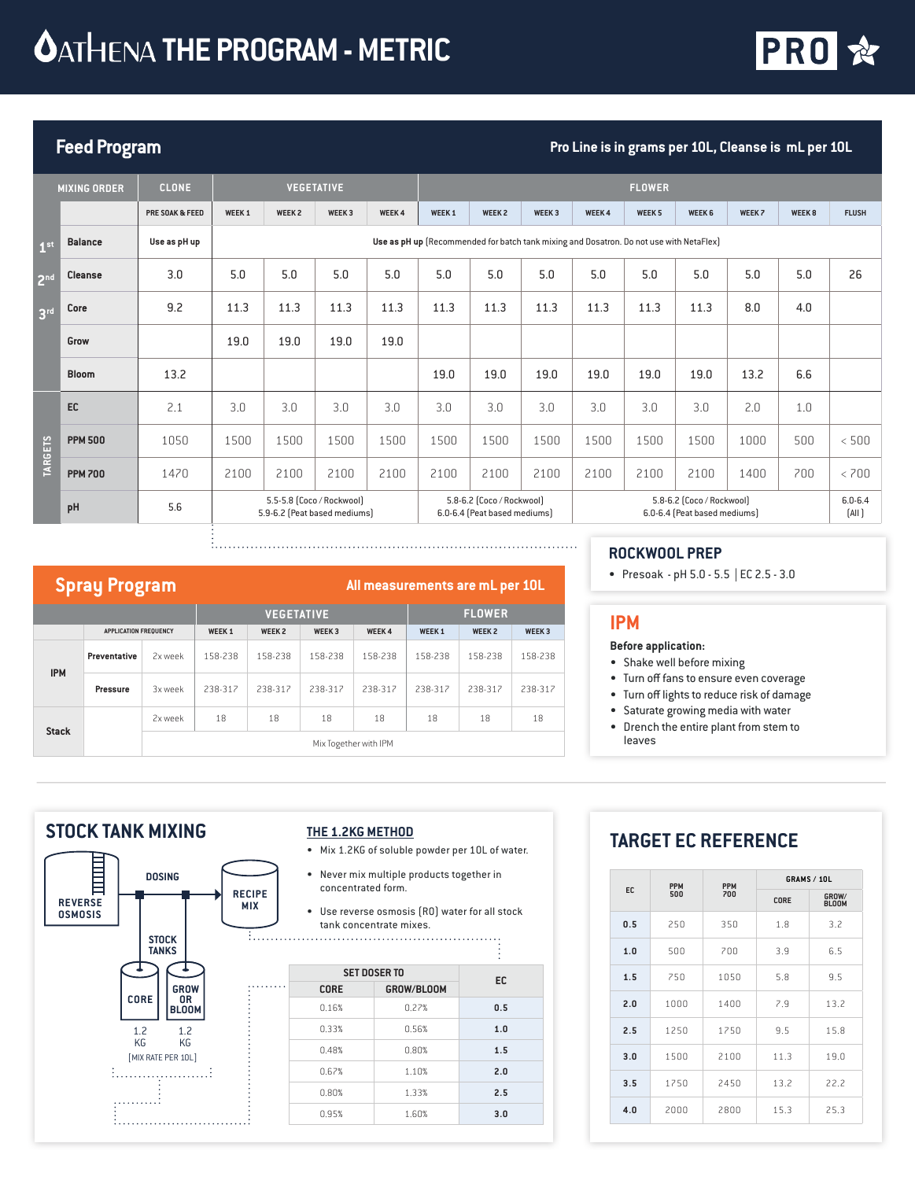

# **Feed Program Pro Line is in grams per 10L, Cleanse is mL per 10L**

|                 | <b>MIXING ORDER</b> | <b>CLONE</b>    |                   |                              | <b>VEGETATIVE</b>         |              |                   |                                                           |                                                                                         |              | <b>FLOWER</b>     |                                                           |        |                   |                      |
|-----------------|---------------------|-----------------|-------------------|------------------------------|---------------------------|--------------|-------------------|-----------------------------------------------------------|-----------------------------------------------------------------------------------------|--------------|-------------------|-----------------------------------------------------------|--------|-------------------|----------------------|
|                 |                     | PRE SOAK & FEED | WEEK <sub>1</sub> | WEEK <sub>2</sub>            | WEEK <sub>3</sub>         | <b>WEEK4</b> | WEEK <sub>1</sub> | <b>WEEK 2</b>                                             | WEEK <sub>3</sub>                                                                       | <b>WEEK4</b> | WEEK <sub>5</sub> | WEEK <sub>6</sub>                                         | WEEK 7 | WEEK <sub>8</sub> | <b>FLUSH</b>         |
| 1 <sup>st</sup> | <b>Balance</b>      | Use as pH up    |                   |                              |                           |              |                   |                                                           | Use as pH up [Recommended for batch tank mixing and Dosatron. Do not use with NetaFlex] |              |                   |                                                           |        |                   |                      |
| 2 <sup>nd</sup> | <b>Cleanse</b>      | 3.0             | 5.0               | 5.0                          | 5.0                       | 5.0          | 5.0               | 5.0                                                       | 5.0                                                                                     | 5.0          | 5.0               | 5.0                                                       | 5.0    | 5.0               | 26                   |
| 3 <sup>rd</sup> | Core                | 9.2             | 11.3              | 11.3                         | 11.3                      | 11.3         | 11.3              | 11.3                                                      | 11.3                                                                                    | 11.3         | 11.3              | 11.3                                                      | 8.0    | 4.0               |                      |
|                 | Grow                |                 | 19.0              | 19.0                         | 19.0                      | 19.0         |                   |                                                           |                                                                                         |              |                   |                                                           |        |                   |                      |
|                 | <b>Bloom</b>        | 13.2            |                   |                              |                           |              | 19.0              | 19.0                                                      | 19.0                                                                                    | 19.0         | 19.0              | 19.0                                                      | 13.2   | 6.6               |                      |
|                 | EC                  | 2.1             | 3.0               | 3.0                          | 3.0                       | 3.0          | 3.0               | 3.0                                                       | 3.0                                                                                     | 3.0          | 3.0               | 3.0                                                       | 2.0    | 1.0               |                      |
|                 | <b>PPM 500</b>      | 1050            | 1500              | 1500                         | 1500                      | 1500         | 1500              | 1500                                                      | 1500                                                                                    | 1500         | 1500              | 1500                                                      | 1000   | 500               | < 500                |
| <b>TARGETS</b>  | <b>PPM 700</b>      | 1470            | 2100              | 2100                         | 2100                      | 2100         | 2100              | 2100                                                      | 2100                                                                                    | 2100         | 2100              | 2100                                                      | 1400   | 700               | < 700                |
|                 | pH                  | 5.6             |                   | 5.9-6.2 (Peat based mediums) | 5.5-5.8 (Coco / Rockwool) |              |                   | 5.8-6.2 (Coco / Rockwool)<br>6.0-6.4 (Peat based mediums) |                                                                                         |              |                   | 5.8-6.2 [Coco / Rockwool]<br>6.0-6.4 (Peat based mediums) |        |                   | $6.0 - 6.4$<br>[All] |

# **Spray Program All measurements are mL per 10L**

|              |                       |         |              | <b>VEGETATIVE</b> |         |                                   | <b>FLOWER</b> |              |                   |  |
|--------------|-----------------------|---------|--------------|-------------------|---------|-----------------------------------|---------------|--------------|-------------------|--|
|              | APPLICATION FREQUENCY |         | <b>WEEK1</b> | WEEK <sub>2</sub> |         | WEEK <sub>3</sub><br><b>WEEK4</b> |               | <b>WEEK2</b> | WEEK <sub>3</sub> |  |
| <b>IPM</b>   | <b>Preventative</b>   | 2x week | 158-238      | 158-238           | 158-238 | 158-238                           | 158-238       | 158-238      | 158-238           |  |
|              | Pressure              | 3x week | 238-317      | 238-317           | 238-317 | 238-317                           | 238-317       | 238-317      | 238-317           |  |
| <b>Stack</b> |                       | 2x week | 18           | 18                | 18      | 18                                | 18            | 18           | 18                |  |
|              |                       |         |              |                   |         | Mix Together with IPM             |               |              |                   |  |

#### **ROCKWOOL PREP**

• Presoak - pH 5.0 - 5.5 | EC 2.5 - 3.0

### **IPM**

#### **Before application:**

- Shake well before mixing
- Turn off fans to ensure even coverage
- Turn off lights to reduce risk of damage
- Saturate growing media with water
- Drench the entire plant from stem to leaves

## **STOCK TANK MIXING**



#### **THE 1.2KG METHOD**

- Mix 1.2KG of soluble powder per 10L of water.
- Never mix multiple products together in concentrated form.
- Use reverse osmosis (RO) water for all stock tank concentrate mixes.

| <b>EC</b> | <b>SET DOSER TO</b> |             |
|-----------|---------------------|-------------|
|           | GROW/BLOOM          | <b>CORE</b> |
| 0.5       | 0.27%               | 0.16%       |
| 1.0       | 0.56%               | 0.33%       |
| 1.5       | 0.80%               | 0.48%       |
| 2.0       | 1.10%               | 0.67%       |
| 2.5       | 1.33%               | 0.80%       |
| 3.0       | 1.60%               | 0.95%       |
|           |                     |             |

# **TARGET EC REFERENCE**

|     | <b>PPM</b> | <b>PPM</b> |      | <b>GRAMS / 10L</b>    |
|-----|------------|------------|------|-----------------------|
| EC. | 500        | 700        | CORE | GROW/<br><b>BLOOM</b> |
| 0.5 | 250        | 350        | 1.8  | 3.2                   |
| 1.0 | 500        | 700        | 3.9  | 6.5                   |
| 1.5 | 750        | 1050       | 5.8  | 9.5                   |
| 2.0 | 1000       | 1400       | 7.9  | 13.2                  |
| 2.5 | 1250       | 1750       | 9.5  | 15.8                  |
| 3.0 | 1500       | 2100       | 11.3 | 19.0                  |
| 3.5 | 1750       | 2450       | 13.2 | 22.2                  |
| 4.0 | 2000       | 2800       | 15.3 | 25.3                  |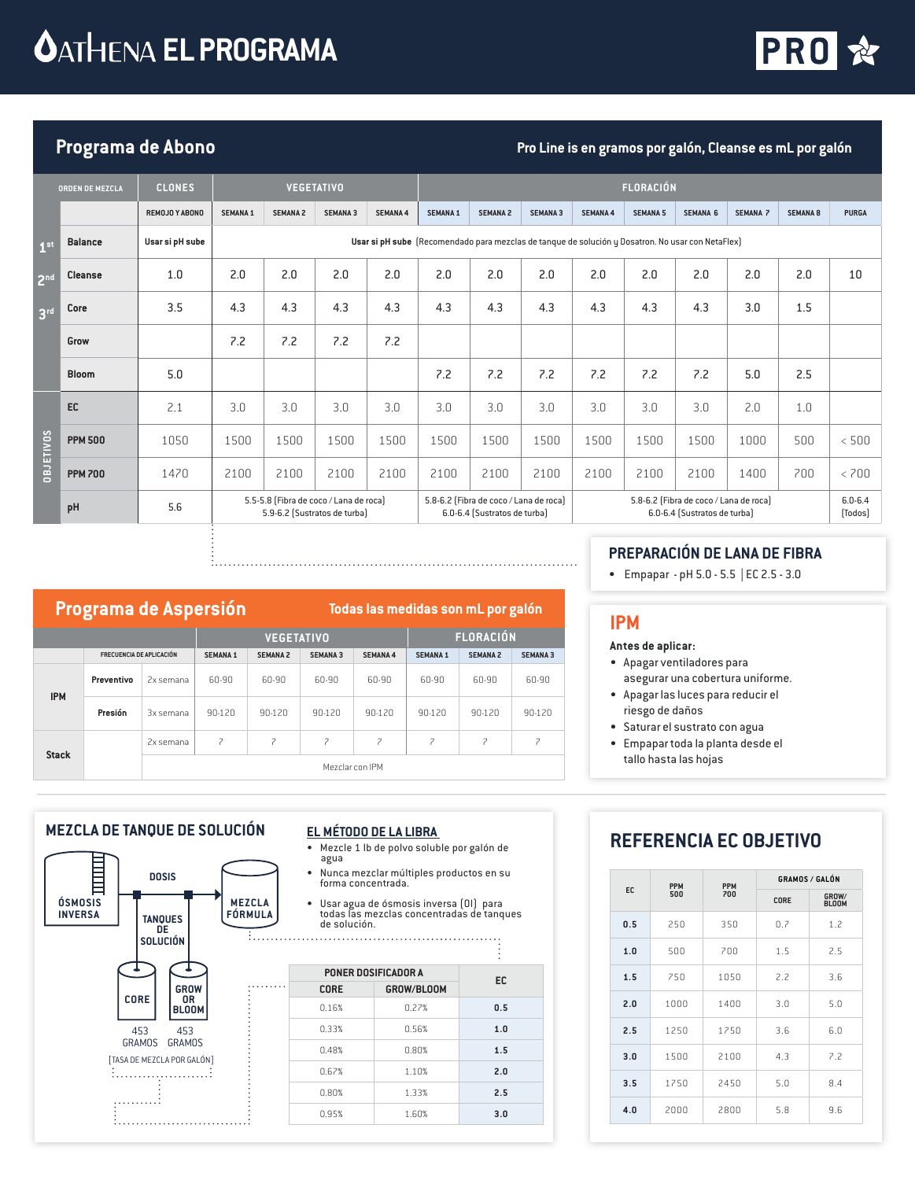# **CATHENA EL PROGRAMA**



# Programa de Abono **Programa de Abono Pro Line is en gramos** por galón, Cleanse es mL por galón

|                   | <b>ORDEN DE MEZCLA</b>                                                                                                                                                                                                                  | <b>CLONES</b>   |                 |                 | <b>VEGETATIVO</b> |                 |                                                                                                   |                 |                 |                        | <b>FLORACIÓN</b> |                 |                 |                 |              |
|-------------------|-----------------------------------------------------------------------------------------------------------------------------------------------------------------------------------------------------------------------------------------|-----------------|-----------------|-----------------|-------------------|-----------------|---------------------------------------------------------------------------------------------------|-----------------|-----------------|------------------------|------------------|-----------------|-----------------|-----------------|--------------|
|                   |                                                                                                                                                                                                                                         | REMOJO Y ABONO  | <b>SEMANA 1</b> | <b>SEMANA 2</b> | <b>SEMANA 3</b>   | <b>SEMANA 4</b> | <b>SEMANA 1</b>                                                                                   | <b>SEMANA 2</b> | <b>SEMANA 3</b> | <b>SEMANA 4</b>        | <b>SEMANA 5</b>  | <b>SEMANA 6</b> | <b>SEMANA 7</b> | <b>SEMANA 8</b> | <b>PURGA</b> |
| 1 <sup>st</sup>   | <b>Balance</b>                                                                                                                                                                                                                          | Usar si pH sube |                 |                 |                   |                 | Usar si pH sube (Recomendado para mezclas de tanque de solución y Dosatron. No usar con NetaFlex) |                 |                 |                        |                  |                 |                 |                 |              |
| 2 <sup>nd</sup>   | <b>Cleanse</b>                                                                                                                                                                                                                          | 1.0             | 2.0             | 2.0             | 2.0               | 2.0             | 2.0                                                                                               | 2.0             | 2.0             | 2.0                    | 2.0              | 2.0             | 2.0             | 2.0             | 10           |
| 3 <sup>rd</sup>   | Core                                                                                                                                                                                                                                    | 3.5             | 4.3             | 4.3             | 4.3               | 4.3             | 4.3                                                                                               | 4.3             | 4.3             | 4.3                    | 4.3              | 4.3             | 3.0             | 1.5             |              |
|                   | Grow                                                                                                                                                                                                                                    |                 | 7.2             | 7.2             | 7.2               | 7.2             |                                                                                                   |                 |                 |                        |                  |                 |                 |                 |              |
|                   | <b>Bloom</b>                                                                                                                                                                                                                            | 5.0             |                 |                 |                   |                 | 7.2                                                                                               | 7.2             | 7.2             | 7.2                    | 7.2              | 7.2             | 5.0             | 2.5             |              |
|                   | EC                                                                                                                                                                                                                                      | 2.1             | 3.0             | 3.0             | 3.0               | 3.0             | 3.0                                                                                               | 3.0             | 3.0             | 3.0                    | 3.0              | 3.0             | 2.0             | 1.0             |              |
| <b>SONILISTED</b> | <b>PPM 500</b>                                                                                                                                                                                                                          | 1050            | 1500            | 1500            | 1500              | 1500            | 1500                                                                                              | 1500            | 1500            | 1500                   | 1500             | 1500            | 1000            | 500             | < 500        |
|                   | <b>PPM 700</b>                                                                                                                                                                                                                          | 1470            | 2100            | 2100            | 2100              | 2100            | 2100                                                                                              | 2100            | 2100            | 2100                   | 2100             | 2100            | 1400            | 700             | < 700        |
|                   | 5.5-5.8 (Fibra de coco / Lana de roca)<br>5.8-6.2 (Fibra de coco / Lana de roca)<br>5.8-6.2 (Fibra de coco / Lana de roca)<br>5.6<br>pH<br>5.9-6.2 (Sustratos de turba)<br>6.0-6.4 (Sustratos de turba)<br>6.0-6.4 (Sustratos de turba) |                 |                 |                 |                   |                 |                                                                                                   |                 |                 | $6.0 - 6.4$<br>[Todos] |                  |                 |                 |                 |              |

# **Programa de Aspersión Todas las medidas son mL por galón**

|              |                                 |           |                                    | <b>VEGETATIVO</b> |                 |                 | <b>FLORACIÓN</b> |                 |                          |  |
|--------------|---------------------------------|-----------|------------------------------------|-------------------|-----------------|-----------------|------------------|-----------------|--------------------------|--|
|              | <b>FRECUENCIA DE APLICACIÓN</b> |           | <b>SEMANA 1</b><br><b>SEMANA 2</b> |                   | <b>SEMANA 3</b> | <b>SEMANA 4</b> | <b>SEMANA 1</b>  | <b>SEMANA 2</b> | <b>SEMANA 3</b>          |  |
| <b>IPM</b>   | Preventivo                      | 2x semana | 60-90                              | 60-90             | 60-90           | 60-90           | 60-90            | 60-90           | 60-90                    |  |
|              | Presión                         | 3x semana | 90-120                             | 90-120            | 90-120          | 90-120          | 90-120           | 90-120          | 90-120                   |  |
| <b>Stack</b> |                                 | 2x semana | 7                                  | 7                 | 7               | 7               | 7                | 7               | $\overline{\phantom{a}}$ |  |
|              |                                 |           |                                    |                   | Mezclar con IPM |                 |                  |                 |                          |  |

# **PREPARACIÓN DE LANA DE FIBRA**

• Empapar - pH 5.0 - 5.5 | EC 2.5 - 3.0

### **IPM**

- **Antes de aplicar:**
- Apagar ventiladores para asegurar una cobertura uniforme.
- Apagar las luces para reducir el riesgo de daños
- Saturar el sustrato con agua
- Empapar toda la planta desde el tallo hasta las hojas

### **MEZCLA DE TANQUE DE SOLUCIÓN**



#### **EL MÉTODO DE LA LIBRA**

- Mezcle 1 lb de polvo soluble por galón de agua
- Nunca mezclar múltiples productos en su forma concentrada.
- Usar agua de ósmosis inversa (OI) para todas las mezclas concentradas de tanques de solución.

| EC  | PONER DOSIFICADOR A |             |
|-----|---------------------|-------------|
|     | GROW/BLOOM          | <b>CORE</b> |
| 0.5 | 0.27%               | 0.16%       |
| 1.0 | 0.56%               | 0.33%       |
| 1.5 | 0.80%               | 0.48%       |
| 2.0 | 1.10%               | 0.67%       |
| 2.5 | 1.33%               | 0.80%       |
| 3.0 | 1.60%               | 0.95%       |

# **REFERENCIA EC OBJETIVO**

|     | <b>PPM</b> | <b>PPM</b> | <b>GRAMOS / GALÓN</b> |                       |
|-----|------------|------------|-----------------------|-----------------------|
| EC. | 500        | 700        | CORE                  | GROW/<br><b>BLOOM</b> |
| 0.5 | 250        | 350        | 0.7                   | 1.2                   |
| 1.0 | 500        | 700        | 1.5                   | 2.5                   |
| 1.5 | 250        | 1050       | 2.2                   | 3.6                   |
| 2.0 | 1000       | 1400       | 3.0                   | 5.0                   |
| 2.5 | 1250       | 1750       | 3.6                   | 6.0                   |
| 3.0 | 1500       | 2100       | 4.3                   | 7.2                   |
| 3.5 | 1750       | 2450       | 5.0                   | 8.4                   |
| 4.0 | 2000       | 2800       | 5.8                   | 9.6                   |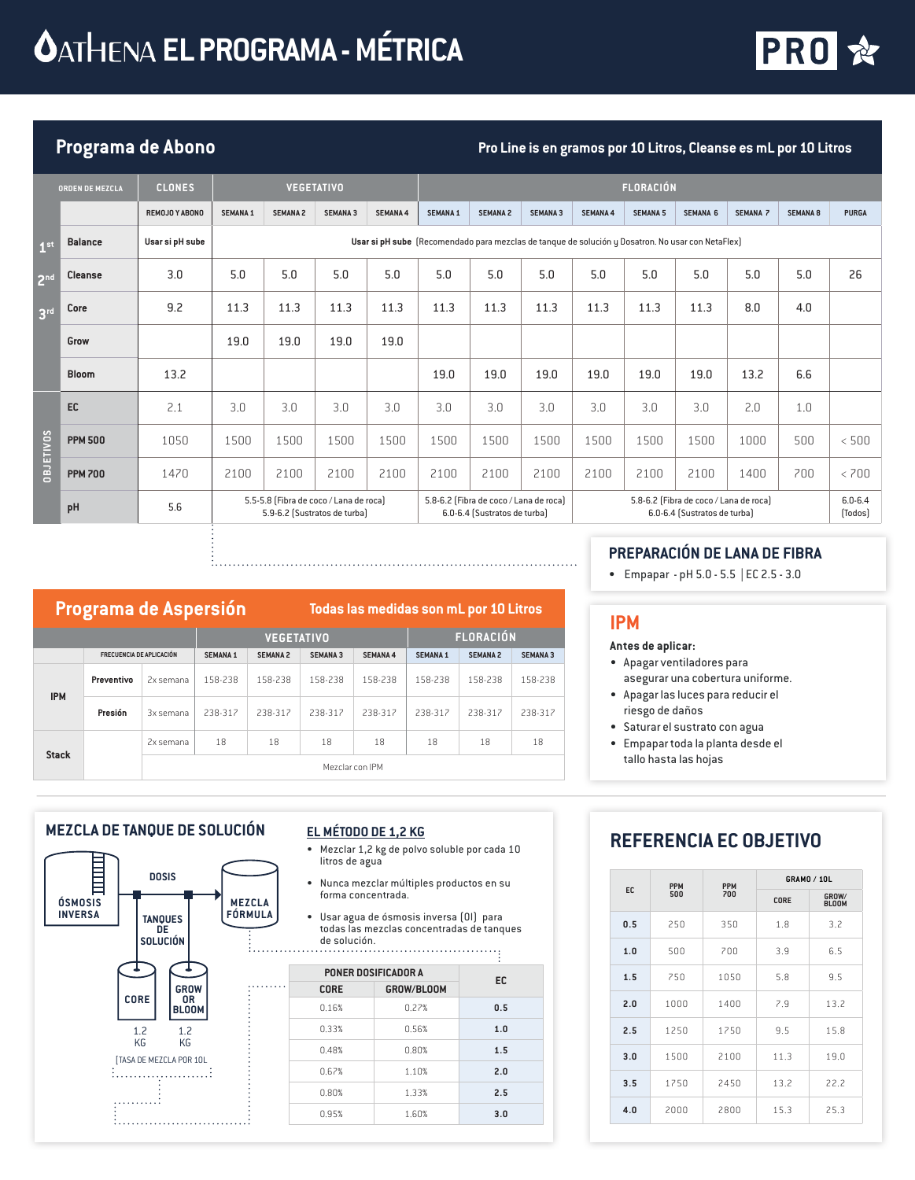# **CATHENA EL PROGRAMA - MÉTRICA**



# **Programa de Abono Pro Line is en gramos por 10 Litros, Cleanse es mL por 10 Litros**

|                 | <b>ORDEN DE MEZCLA</b> | <b>CLONES</b>                                                                 |                 |                 | <b>VEGETATIVO</b> |                                                                                                                                                  |                 |                 |                                                                                                   |                        | <b>FLORACIÓN</b> |                 |                 |                 |              |
|-----------------|------------------------|-------------------------------------------------------------------------------|-----------------|-----------------|-------------------|--------------------------------------------------------------------------------------------------------------------------------------------------|-----------------|-----------------|---------------------------------------------------------------------------------------------------|------------------------|------------------|-----------------|-----------------|-----------------|--------------|
|                 |                        | REMOJO Y ABONO                                                                | <b>SEMANA 1</b> | <b>SEMANA 2</b> | <b>SEMANA 3</b>   | <b>SEMANA 4</b>                                                                                                                                  | <b>SEMANA 1</b> | <b>SEMANA 2</b> | <b>SEMANA 3</b>                                                                                   | <b>SEMANA 4</b>        | <b>SEMANA 5</b>  | <b>SEMANA 6</b> | <b>SEMANA 7</b> | <b>SEMANA 8</b> | <b>PURGA</b> |
| 1 <sup>st</sup> | <b>Balance</b>         | Usar si pH sube                                                               |                 |                 |                   |                                                                                                                                                  |                 |                 | Usar si pH sube (Recomendado para mezclas de tanque de solución y Dosatron. No usar con NetaFlex) |                        |                  |                 |                 |                 |              |
| 2 <sup>nd</sup> | <b>Cleanse</b>         | 3.0                                                                           | 5.0             | 5.0             | 5.0               | 5.0                                                                                                                                              | 5.0             | 5.0             | 5.0                                                                                               | 5.0                    | 5.0              | 5.0             | 5.0             | 5.0             | 26           |
| 3 <sup>rd</sup> | Core                   | 9.2                                                                           | 11.3            | 11.3            | 11.3              | 11.3                                                                                                                                             | 11.3            | 11.3            | 11.3                                                                                              | 11.3                   | 11.3             | 11.3            | 8.0             | 4.0             |              |
|                 | Grow                   |                                                                               | 19.0            | 19.0            | 19.0              | 19.0                                                                                                                                             |                 |                 |                                                                                                   |                        |                  |                 |                 |                 |              |
|                 | <b>Bloom</b>           | 13.2                                                                          |                 |                 |                   |                                                                                                                                                  | 19.0            | 19.0            | 19.0                                                                                              | 19.0                   | 19.0             | 19.0            | 13.2            | 6.6             |              |
|                 | EC                     | 2.1                                                                           | 3.0             | 3.0             | 3.0               | 3.0                                                                                                                                              | 3.0             | 3.0             | 3.0                                                                                               | 3.0                    | 3.0              | 3.0             | 2.0             | 1.0             |              |
| OBJETIVOS       | <b>PPM 500</b>         | 1050                                                                          | 1500            | 1500            | 1500              | 1500                                                                                                                                             | 1500            | 1500            | 1500                                                                                              | 1500                   | 1500             | 1500            | 1000            | 500             | < 500        |
|                 | <b>PPM700</b>          | 1470                                                                          | 2100            | 2100            | 2100              | 2100                                                                                                                                             | 2100            | 2100            | 2100                                                                                              | 2100                   | 2100             | 2100            | 1400            | 700             | < 700        |
|                 | pH                     | 5.5-5.8 (Fibra de coco / Lana de roca)<br>5.6<br>5.9-6.2 (Sustratos de turba) |                 |                 |                   | 5.8-6.2 (Fibra de coco / Lana de roca)<br>5.8-6.2 (Fibra de coco / Lana de roca)<br>6.0-6.4 (Sustratos de turba)<br>6.0-6.4 (Sustratos de turba) |                 |                 |                                                                                                   | $6.0 - 6.4$<br>[Todos] |                  |                 |                 |                 |              |

# **Programa de Aspersión Todas las medidas son mL por 10 Litros**

|              |                                 |                 |                 | <b>VEGETATIVO</b> |                 | <b>FLORACIÓN</b> |                 |                 |                 |  |
|--------------|---------------------------------|-----------------|-----------------|-------------------|-----------------|------------------|-----------------|-----------------|-----------------|--|
|              | <b>FRECUENCIA DE APLICACIÓN</b> |                 | <b>SEMANA 1</b> | <b>SEMANA 2</b>   | <b>SEMANA 3</b> | <b>SEMANA 4</b>  | <b>SEMANA 1</b> | <b>SEMANA 2</b> | <b>SEMANA 3</b> |  |
| <b>IPM</b>   | Preventivo                      | 2x semana       | 158-238         | 158-238           | 158-238         | 158-238          | 158-238         | 158-238         | 158-238         |  |
|              | Presión<br>3x semana            |                 | 238-317         | 238-317           | 238-317         | 238-317          | 238-317         | 238-317         | 238-317         |  |
| <b>Stack</b> |                                 | 2x semana       | 18              | 18                | 18              | 18               | 18              | 18              | 18              |  |
|              |                                 | Mezclar con IPM |                 |                   |                 |                  |                 |                 |                 |  |

## • Empapar - pH 5.0 - 5.5 | EC 2.5 - 3.0

**PREPARACIÓN DE LANA DE FIBRA**

### **IPM**

#### **Antes de aplicar:**

- Apagar ventiladores para asegurar una cobertura uniforme.
- Apagar las luces para reducir el riesgo de daños
- Saturar el sustrato con agua
- Empapar toda la planta desde el tallo hasta las hojas

### **MEZCLA DE TANQUE DE SOLUCIÓN**



#### **EL MÉTODO DE 1,2 KG**

- Mezclar 1,2 kg de polvo soluble por cada 10 litros de agua
- Nunca mezclar múltiples productos en su forma concentrada.
- Usar agua de ósmosis inversa (OI) para todas las mezclas concentradas de tanques de solución.

|             | PONER DOSIFICADOR A | EC  |
|-------------|---------------------|-----|
| <b>CORE</b> | GROW/BLOOM          |     |
| 0.16%       | 0.27%               | 0.5 |
| 0.33%       | 0.56%               | 1.0 |
| 0.48%       | 0.80%               | 1.5 |
| 0.67%       | 1.10%               | 2.0 |
| 0.80%       | 1.33%               | 2.5 |
| 0.95%       | 1.60%               | 3.0 |

# **REFERENCIA EC OBJETIVO**

|     | <b>PPM</b> | <b>PPM</b> |      | <b>GRAMO / 10L</b>    |
|-----|------------|------------|------|-----------------------|
| EC. | 500        | 700        | CORE | GROW/<br><b>BLOOM</b> |
| 0.5 | 250        | 350        | 1.8  | 3.2                   |
| 1.0 | 500        | 700        | 3.9  | 6.5                   |
| 1.5 | 250        | 1050       | 5.8  | 9.5                   |
| 2.0 | 1000       | 1400       | 7.9  | 13.2                  |
| 2.5 | 1250       | 1750       | 9.5  | 15.8                  |
| 3.0 | 1500       | 2100       | 11.3 | 19.0                  |
| 3.5 | 1750       | 2450       | 13.2 | 22.2                  |
| 4.0 | 2000       | 2800       | 15.3 | 25.3                  |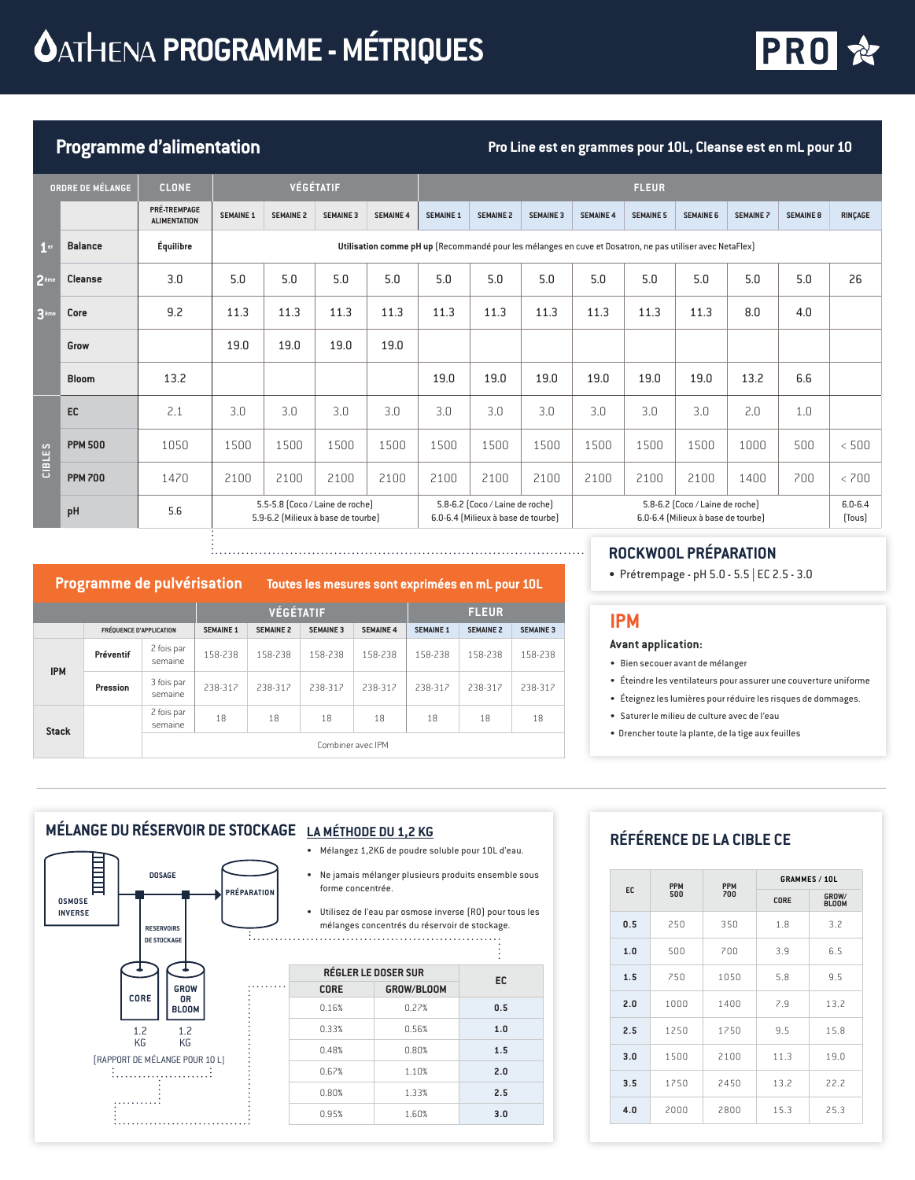# *<u>OATHENA PROGRAMME - MÉTRIQUES</u>*



# **Programme d'alimentation Pro Line est en grammes pour 10L, Cleanse est en mL pour 10**

|                  | ORDRE DE MÉLANGE | <b>CLONE</b>                        |                                                                                                           |                  | VÉGÉTATIF        |                  |                                                                                                                                                |                  |                  |                  | <b>FLEUR</b>     |                  |                       |                  |                |
|------------------|------------------|-------------------------------------|-----------------------------------------------------------------------------------------------------------|------------------|------------------|------------------|------------------------------------------------------------------------------------------------------------------------------------------------|------------------|------------------|------------------|------------------|------------------|-----------------------|------------------|----------------|
|                  |                  | PRÉ-TREMPAGE<br><b>ALIMENTATION</b> | <b>SEMAINE 1</b>                                                                                          | <b>SEMAINE 2</b> | <b>SEMAINE 3</b> | <b>SEMAINE 4</b> | <b>SEMAINE 1</b>                                                                                                                               | <b>SEMAINE 2</b> | <b>SEMAINE 3</b> | <b>SEMAINE 4</b> | <b>SEMAINE 5</b> | <b>SEMAINE 6</b> | <b>SEMAINE 7</b>      | <b>SEMAINE 8</b> | <b>RINÇAGE</b> |
| 1 <sup>er</sup>  | <b>Balance</b>   | Équilibre                           | Utilisation comme pH up (Recommandé pour les mélanges en cuve et Dosatron, ne pas utiliser avec NetaFlex) |                  |                  |                  |                                                                                                                                                |                  |                  |                  |                  |                  |                       |                  |                |
| 2 <sup>eme</sup> | Cleanse          | 3.0                                 | 5.0                                                                                                       | 5.0              | 5.0              | 5.0              | 5.0                                                                                                                                            | 5.0              | 5.0              | 5.0              | 5.0              | 5.0              | 5.0                   | 5.0              | 26             |
| 3 <sup>eme</sup> | Core             | 9.2                                 | 11.3                                                                                                      | 11.3             | 11.3             | 11.3             | 11.3                                                                                                                                           | 11.3             | 11.3             | 11.3             | 11.3             | 11.3             | 8.0                   | 4.0              |                |
|                  | Grow             |                                     | 19.0                                                                                                      | 19.0             | 19.0             | 19.0             |                                                                                                                                                |                  |                  |                  |                  |                  |                       |                  |                |
|                  | <b>Bloom</b>     | 13.2                                |                                                                                                           |                  |                  |                  | 19.0                                                                                                                                           | 19.0             | 19.0             | 19.0             | 19.0             | 19.0             | 13.2                  | 6.6              |                |
|                  | EC               | 2.1                                 | 3.0                                                                                                       | 3.0              | 3.0              | 3.0              | 3.0                                                                                                                                            | 3.0              | 3.0              | 3.0              | 3.0              | 3.0              | 2.0                   | 1.0              |                |
|                  | <b>PPM 500</b>   | 1050                                | 1500                                                                                                      | 1500             | 1500             | 1500             | 1500                                                                                                                                           | 1500             | 1500             | 1500             | 1500             | 1500             | 1000                  | 500              | < 500          |
| CIBLES           | <b>PPM700</b>    | 1470                                | 2100                                                                                                      | 2100             | 2100             | 2100             | 2100                                                                                                                                           | 2100             | 2100             | 2100             | 2100             | 2100             | 1400                  | 700              | < 700          |
|                  | pH               | 5.6                                 | 5.5-5.8 (Coco / Laine de roche)<br>5.9-6.2 (Milieux à base de tourbe)                                     |                  |                  |                  | 5.8-6.2 (Coco / Laine de roche)<br>5.8-6.2 (Coco / Laine de roche)<br>6.0-6.4 (Milieux à base de tourbe)<br>6.0-6.4 (Milieux à base de tourbe) |                  |                  |                  |                  |                  | $6.0 - 6.4$<br>[Tous] |                  |                |

#### 

|              | Programme de pulvérisation     |                       |                  | Toutes les mesures sont exprimées en mL pour 10L |                  |                   |                  |                  |                  |  |  |
|--------------|--------------------------------|-----------------------|------------------|--------------------------------------------------|------------------|-------------------|------------------|------------------|------------------|--|--|
|              |                                |                       |                  | <b>VÉGÉTATIF</b>                                 |                  |                   | <b>FLEUR</b>     |                  |                  |  |  |
|              | <b>FRÉQUENCE D'APPLICATION</b> |                       | <b>SEMAINE 1</b> | <b>SEMAINE 2</b>                                 | <b>SEMAINE 3</b> | <b>SEMAINE 4</b>  | <b>SEMAINE 1</b> | <b>SEMAINE 2</b> | <b>SEMAINE 3</b> |  |  |
| <b>IPM</b>   | Préventif                      | 2 fois par<br>semaine | 158-238          | 158-238                                          | 158-238          | 158-238           | 158-238          | 158-238          | 158-238          |  |  |
|              | Pression                       | 3 fois par<br>semaine | 238-312          | 238-317                                          | 238-312          | 238-312           | 238-317          | 238-312          | 238-312          |  |  |
| <b>Stack</b> |                                | 2 fois par<br>semaine | 18               | 18                                               | 18               | 18                | 18               | 18               | 18               |  |  |
|              |                                |                       |                  |                                                  |                  | Combiner avec IPM |                  |                  |                  |  |  |

#### **ROCKWOOL PRÉPARATION**

• Prétrempage - pH 5.0 - 5.5 | EC 2.5 - 3.0

### **IPM**

#### **Avant application:**

- Bien secouer avant de mélanger
- Éteindre les ventilateurs pour assurer une couverture uniforme
- Éteignez les lumières pour réduire les risques de dommages.
- Saturer le milieu de culture avec de l'eau
- Drencher toute la plante, de la tige aux feuilles

## <u>MÉLANGE DU RÉSERVOIR DE STOCKAGE LA MÉTHODE DU 1,2 KG</u>



- 
- Mélangez 1,2KG de poudre soluble pour 10L d'eau.
- Ne jamais mélanger plusieurs produits ensemble sous forme concentrée.
- Utilisez de l'eau par osmose inverse (RO) pour tous les mélanges concentrés du réservoir de stockage.

| EC  | <b>RÉGLER LE DOSER SUR</b> |             |  |
|-----|----------------------------|-------------|--|
|     | GROW/BLOOM                 | <b>CORE</b> |  |
| 0.5 | 0.22%                      | 0.16%       |  |
| 1.0 | 0.56%                      | 0.33%       |  |
| 1.5 | 0.80%                      | 0.48%       |  |
| 2.0 | 1.10%                      | 0.67%       |  |
| 2.5 | 1.33%                      | 0.80%       |  |
| 3.0 | 1.60%                      | 0.95%       |  |
|     |                            |             |  |

## **RÉFÉRENCE DE LA CIBLE CE**

|     | <b>PPM</b> | <b>PPM</b> |      | <b>GRAMMES / 10L</b>  |
|-----|------------|------------|------|-----------------------|
| EC. | 500        | 700        | CORE | GROW/<br><b>BLOOM</b> |
| 0.5 | 250        | 350        | 1.8  | 3.2                   |
| 1.0 | 500        | 700        | 3.9  | 6.5                   |
| 1.5 | 750        | 1050       | 5.8  | 9.5                   |
| 2.0 | 1000       | 1400       | 7.9  | 13.2                  |
| 2.5 | 1250       | 1750       | 9.5  | 15.8                  |
| 3.0 | 1500       | 2100       | 11.3 | 19.0                  |
| 3.5 | 1750       | 2450       | 13.2 | 22.2                  |
| 4.0 | 2000       | 2800       | 15.3 | 25.3                  |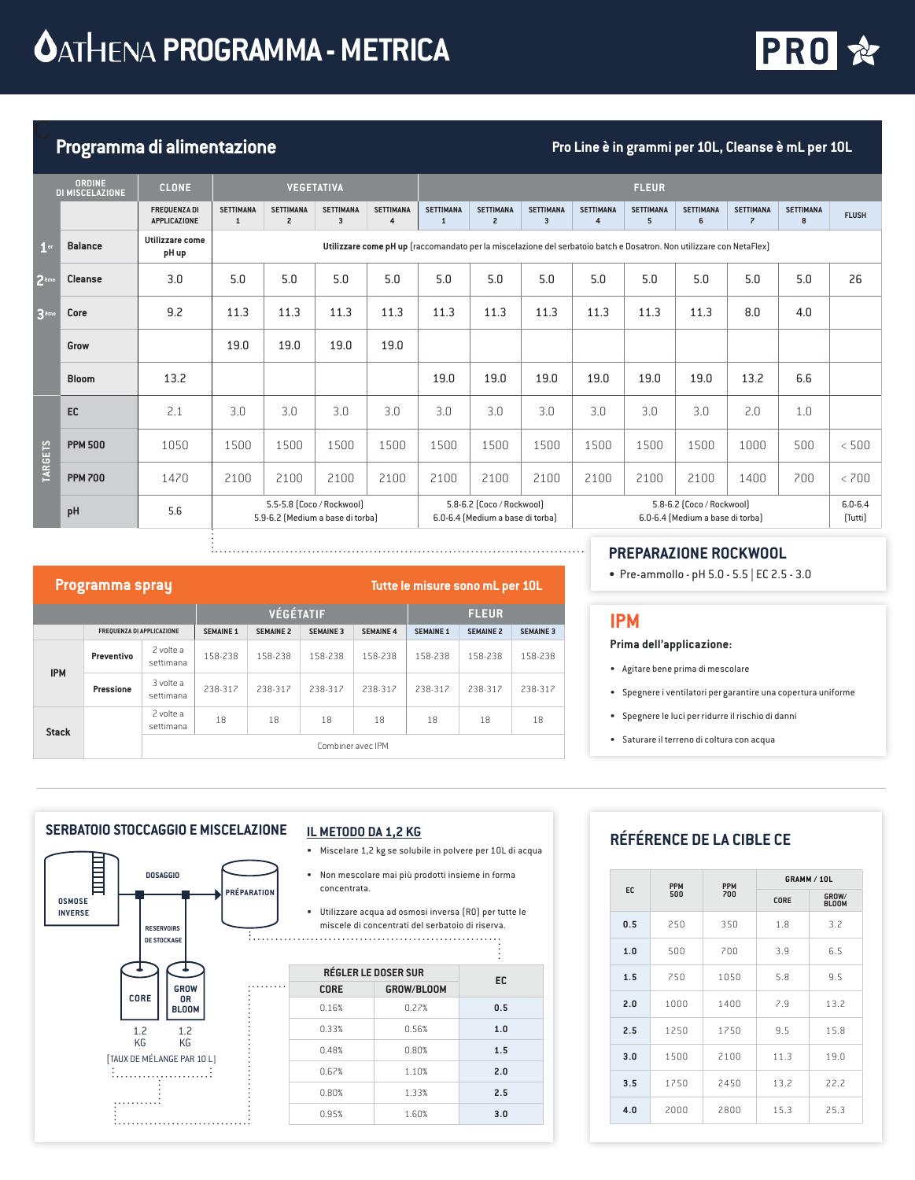

# **Programma di alimentazione Pro Line è in grammi per 10L, Cleanse è mL per 10L**

|                  | <b>ORDINE</b><br>DI MISCELAZIONE | CLONE,                              |                                                               |                                    | <b>VEGETATIVA</b>                           |                                    |                                                                                                                                |                                    |                                             |                                                                                                                      | <b>FLEUR</b>          |                        |                                              |                       |              |
|------------------|----------------------------------|-------------------------------------|---------------------------------------------------------------|------------------------------------|---------------------------------------------|------------------------------------|--------------------------------------------------------------------------------------------------------------------------------|------------------------------------|---------------------------------------------|----------------------------------------------------------------------------------------------------------------------|-----------------------|------------------------|----------------------------------------------|-----------------------|--------------|
|                  |                                  | <b>FREQUENZA DI</b><br>APPLICAZIONE | <b>SETTIMANA</b><br>$\mathbf{1}$                              | <b>SETTIMANA</b><br>$\overline{c}$ | <b>SETTIMANA</b><br>$\overline{\mathbf{3}}$ | <b>SETTIMANA</b><br>$\overline{4}$ | <b>SETTIMANA</b><br>1                                                                                                          | <b>SETTIMANA</b><br>$\overline{2}$ | <b>SETTIMANA</b><br>$\overline{\mathbf{3}}$ | <b>SETTIMANA</b><br>4                                                                                                | <b>SETTIMANA</b><br>5 | <b>SETTIMANA</b><br>6  | <b>SETTIMANA</b><br>$\overline{\phantom{a}}$ | <b>SETTIMANA</b><br>8 | <b>FLUSH</b> |
| 1 <sup>er</sup>  | <b>Balance</b>                   | Utilizzare come<br>pH up            |                                                               |                                    |                                             |                                    |                                                                                                                                |                                    |                                             | Utilizzare come pH up [raccomandato per la miscelazione del serbatoio batch e Dosatron. Non utilizzare con NetaFlex] |                       |                        |                                              |                       |              |
| 2 <sup>ème</sup> | <b>Cleanse</b>                   | 3.0                                 | 5.0                                                           | 5.0                                | 5.0                                         | 5.0                                | 5.0                                                                                                                            | 5.0                                | 5.0                                         | 5.0                                                                                                                  | 5.0                   | 5.0                    | 5.0                                          | 5.0                   | 26           |
| 3 <sup>eme</sup> | Core                             | 9.2                                 | 11.3                                                          | 11.3                               | 11.3                                        | 11.3                               | 11.3                                                                                                                           | 11.3                               | 11.3                                        | 11.3                                                                                                                 | 11.3                  | 11.3                   | 8.0                                          | 4.0                   |              |
|                  | Grow                             |                                     | 19.0                                                          | 19.0                               | 19.0                                        | 19.0                               |                                                                                                                                |                                    |                                             |                                                                                                                      |                       |                        |                                              |                       |              |
|                  | <b>Bloom</b>                     | 13.2                                |                                                               |                                    |                                             |                                    | 19.0                                                                                                                           | 19.0                               | 19.0                                        | 19.0                                                                                                                 | 19.0                  | 19.0                   | 13.2                                         | 6.6                   |              |
|                  | EC                               | 2.1                                 | 3.0                                                           | 3.0                                | 3.0                                         | 3.0                                | 3.0                                                                                                                            | 3.0                                | 3.0                                         | 3.0                                                                                                                  | 3.0                   | 3.0                    | 2.0                                          | 1.0                   |              |
|                  | <b>PPM 500</b>                   | 1050                                | 1500                                                          | 1500                               | 1500                                        | 1500                               | 1500                                                                                                                           | 1500                               | 1500                                        | 1500                                                                                                                 | 1500                  | 1500                   | 1000                                         | 500                   | < 500        |
| <b>TARGETS</b>   | <b>PPM 700</b>                   | 1470                                | 2100                                                          | 2100                               | 2100                                        | 2100                               | 2100                                                                                                                           | 2100                               | 2100                                        | 2100                                                                                                                 | 2100                  | 2100                   | 1400                                         | 700                   | < 700        |
|                  | pH                               | 5.6                                 | 5.5-5.8 (Coco / Rockwool)<br>5.9-6.2 (Medium a base di torba) |                                    |                                             |                                    | 5.8-6.2 (Coco / Rockwool)<br>5.8-6.2 (Coco / Rockwool)<br>6.0-6.4 (Medium a base di torba)<br>6.0-6.4 (Medium a base di torba) |                                    |                                             |                                                                                                                      |                       | $6.0 - 6.4$<br>[Tutti] |                                              |                       |              |

#### **FREQUENZA DI APPLICAZIONE SEMAINE 1 SEMAINE 2 SEMAINE 3 SEMAINE 4 SEMAINE 1 SEMAINE 2 SEMAINE 3 IPM Preventivo** 2 volte a settimana 158-238 158-238 158-238 158-238 158-238 158-238 158-238 **Pressione** 3 volte a<br>settimana settimana 238-317 238-317 238-317 238-317 238-317 238-317 238-317 **Stack** 2 volte a et volte a 18 18 18 18 18 18 18 18 18 Combiner avec IPM **VÉGÉTATIF FLEUR Programma spray Tutte le misure sono mL per 10L**

#### **PREPARAZIONE ROCKWOOL**

• Pre-ammollo - pH 5.0 - 5.5 | EC 2.5 - 3.0

### **IPM**

#### **Prima dell'applicazione:**

- Agitare bene prima di mescolare
- Spegnere i ventilatori per garantire una copertura uniforme
- Spegnere le luci per ridurre il rischio di danni
- Saturare il terreno di coltura con acqua

#### **SERBATOIO STOCCAGGIO E MISCELAZIONE**



#### **IL METODO DA 1,2 KG**

- Miscelare 1,2 kg se solubile in polvere per 10L di acqua
- Non mescolare mai più prodotti insieme in forma concentrata.

• Utilizzare acqua ad osmosi inversa (RO) per tutte le miscele di concentrati del serbatoio di riserva.

|             |                            | ٠   |
|-------------|----------------------------|-----|
|             | <b>RÉGLER LE DOSER SUR</b> | EC  |
| <b>CORE</b> | GROW/BLOOM                 |     |
| 0.16%       | 0.22%                      | 0.5 |
| 0.33%       | 0.56%                      | 1.0 |
| 0.48%       | 0.80%                      | 1.5 |
| 0.67%       | 1.10%                      | 2.0 |
| 0.80%       | 1.33%                      | 2.5 |
| 0.95%       | 1.60%                      | 3.0 |
|             |                            |     |

## **RÉFÉRENCE DE LA CIBLE CE**

|     | <b>PPM</b> | <b>PPM</b> |      | GRAMM / 10L           |
|-----|------------|------------|------|-----------------------|
| EC. | 500        | 700        | CORE | GROW/<br><b>BLOOM</b> |
| 0.5 | 250        | 350        | 1.8  | 3.2                   |
| 1.0 | 500        | 700        | 3.9  | 6.5                   |
| 1.5 | 250        | 1050       | 5.8  | 9.5                   |
| 2.0 | 1000       | 1400       | 7.9  | 13.2                  |
| 2.5 | 1250       | 1750       | 9.5  | 15.8                  |
| 3.0 | 1500       | 2100       | 11.3 | 19.0                  |
| 3.5 | 1750       | 2450       | 13.2 | 22.2                  |
| 4.0 | 2000       | 2800       | 15.3 | 25.3                  |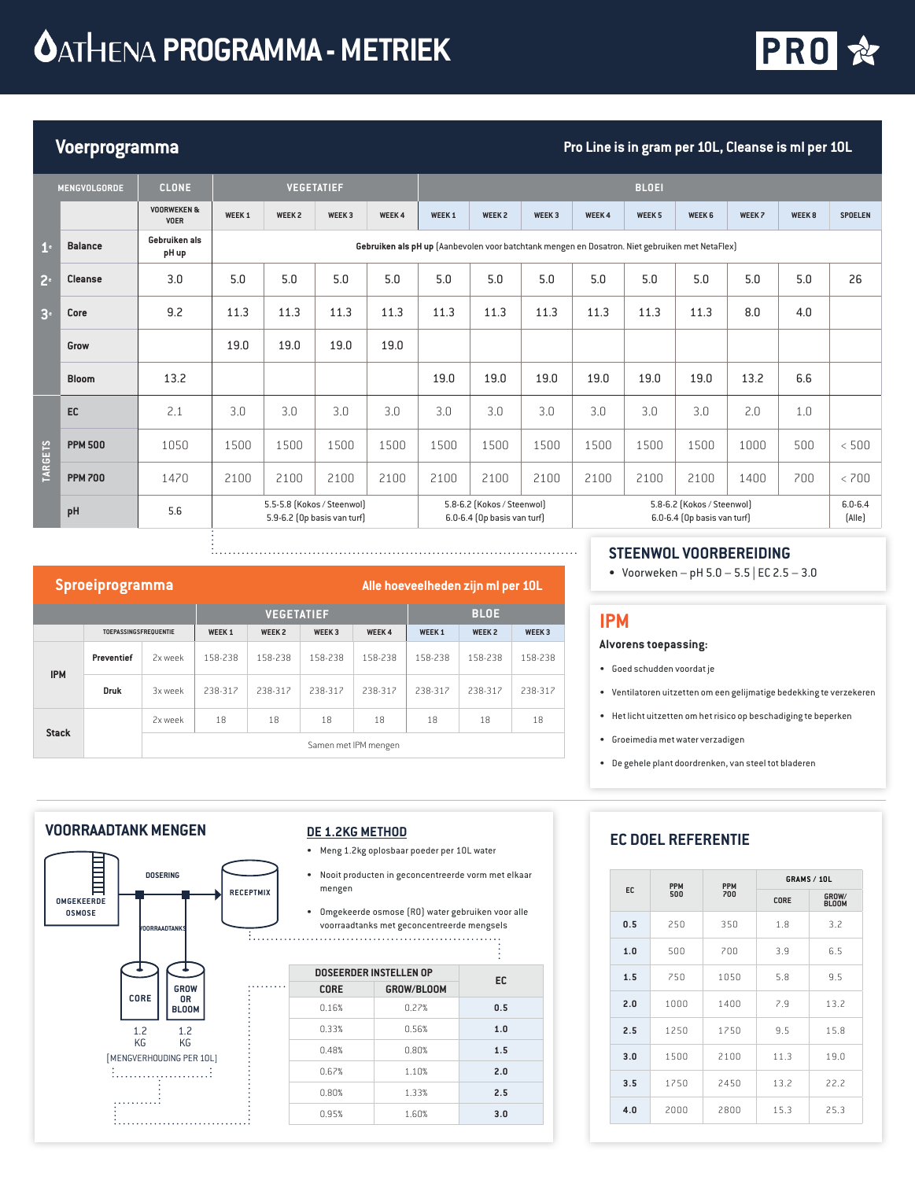

# **Voerprogramma Pro Line is in gram per 10L, Cleanse is ml per 10L**

|                | <b>MENGVOLGORDE</b> | <b>CLONE</b>                          |                                                           |                   | <b>VEGETATIEF</b> |              |                                                                                                                        |               |                   |                                                                                                 | <b>BLOEI</b>  |                       |        |                   |                |
|----------------|---------------------|---------------------------------------|-----------------------------------------------------------|-------------------|-------------------|--------------|------------------------------------------------------------------------------------------------------------------------|---------------|-------------------|-------------------------------------------------------------------------------------------------|---------------|-----------------------|--------|-------------------|----------------|
|                |                     | <b>VOORWEKEN &amp;</b><br><b>VOER</b> | WEEK <sub>1</sub>                                         | WEEK <sub>2</sub> | WEEK <sub>3</sub> | <b>WEEK4</b> | WEEK <sub>1</sub>                                                                                                      | <b>WEEK 2</b> | WEEK <sub>3</sub> | <b>WEEK4</b>                                                                                    | <b>WEEK 5</b> | WEEK <sub>6</sub>     | WEEK 7 | WEEK <sub>8</sub> | <b>SPOELEN</b> |
| 1 <sup>e</sup> | <b>Balance</b>      | Gebruiken als<br>pH up                |                                                           |                   |                   |              |                                                                                                                        |               |                   | Gebruiken als pH up (Aanbevolen voor batchtank mengen en Dosatron. Niet gebruiken met NetaFlex) |               |                       |        |                   |                |
| 2 <sup>e</sup> | <b>Cleanse</b>      | 3.0                                   | 5.0                                                       | 5.0               | 5.0               | 5.0          | 5.0                                                                                                                    | 5.0           | 5.0               | 5.0                                                                                             | 5.0           | 5.0                   | 5.0    | 5.0               | 26             |
| 3 <sup>°</sup> | Core                | 9.2                                   | 11.3                                                      | 11.3              | 11.3              | 11.3         | 11.3                                                                                                                   | 11.3          | 11.3              | 11.3                                                                                            | 11.3          | 11.3                  | 8.0    | 4.0               |                |
|                | Grow                |                                       | 19.0                                                      | 19.0              | 19.0              | 19.0         |                                                                                                                        |               |                   |                                                                                                 |               |                       |        |                   |                |
|                | <b>Bloom</b>        | 13.2                                  |                                                           |                   |                   |              | 19.0                                                                                                                   | 19.0          | 19.0              | 19.0                                                                                            | 19.0          | 19.0                  | 13.2   | 6.6               |                |
|                | EC                  | 2.1                                   | 3.0                                                       | 3.0               | 3.0               | 3.0          | 3.0                                                                                                                    | 3.0           | 3.0               | 3.0                                                                                             | 3.0           | 3.0                   | 2.0    | 1.0               |                |
|                | <b>PPM 500</b>      | 1050                                  | 1500                                                      | 1500              | 1500              | 1500         | 1500                                                                                                                   | 1500          | 1500              | 1500                                                                                            | 1500          | 1500                  | 1000   | 500               | < 500          |
| <b>TARGETS</b> | <b>PPM 700</b>      | 1470                                  | 2100                                                      | 2100              | 2100              | 2100         | 2100                                                                                                                   | 2100          | 2100              | 2100                                                                                            | 2100          | 2100                  | 1400   | 700               | < 700          |
|                | pH                  | 5.6                                   | 5.5-5.8 (Kokos / Steenwol)<br>5.9-6.2 (Op basis van turf) |                   |                   |              | 5.8-6.2 (Kokos / Steenwol)<br>5.8-6.2 (Kokos / Steenwol)<br>6.0-6.4 (0p basis van turf)<br>6.0-6.4 (Op basis van turf) |               |                   |                                                                                                 |               | $6.0 - 6.4$<br>[Alle] |        |                   |                |

### **Sproeiprogramma Alle hoeveelheden zijn mi per 10**L

|              | - 0                          |         |               |                   |                      |             |              |               |                   |
|--------------|------------------------------|---------|---------------|-------------------|----------------------|-------------|--------------|---------------|-------------------|
|              |                              |         |               | <b>VEGETATIEF</b> |                      | <b>BLOE</b> |              |               |                   |
|              | <b>TOEPASSINGSFREQUENTIE</b> |         | <b>WEEK 1</b> | WEEK <sub>2</sub> | WEEK <sub>3</sub>    | WEEK 4      | <b>WEEK1</b> | <b>WEEK 2</b> | WEEK <sub>3</sub> |
| <b>IPM</b>   | Preventief                   | 2x week | 158-238       | 158-238           | 158-238              | 158-238     | 158-238      | 158-238       | 158-238           |
|              | <b>Druk</b>                  | 3x week | 238-317       | 238-317           | 238-317              | 238-317     | 238-317      | 238-317       | 238-317           |
| <b>Stack</b> |                              | 2x week | 18            | 18                | 18                   | 18          | 18           | 18            | 18                |
|              |                              |         |               |                   | Samen met IPM mengen |             |              |               |                   |

### **STEENWOL VOORBEREIDING**

• Voorweken – pH  $5.0 - 5.5$  | EC  $2.5 - 3.0$ 

#### **IPM**

#### **Alvorens toepassing:**

- Goed schudden voordat je
- Ventilatoren uitzetten om een gelijmatige bedekking te verzekeren
- Het licht uitzetten om het risico op beschadiging te beperken
- Groeimedia met water verzadigen
- De gehele plant doordrenken, van steel tot bladeren

#### **VOORRAADTANK MENGEN**



#### **DE 1.2KG METHOD**

- Meng 1.2kg oplosbaar poeder per 10L water
- Nooit producten in geconcentreerde vorm met elkaar mengen
- Omgekeerde osmose (RO) water gebruiken voor alle voorraadtanks met geconcentreerde mengsels

|     | <b>DOSEERDER INSTELLEN OP</b> | EC         |     |
|-----|-------------------------------|------------|-----|
| . . | <b>CORE</b>                   | GROW/BLOOM |     |
|     | 0.16%                         | 0.22%      | 0.5 |
|     | 0.33%                         | 0.56%      | 1.0 |
|     | 0.48%                         | 0.80%      | 1.5 |
|     | 0.67%                         | 1.10%      | 2.0 |
|     | 0.80%                         | 1.33%      | 2.5 |
|     | 0.95%                         | 1.60%      | 3.0 |
|     |                               |            |     |

## **EC DOEL REFERENTIE**

|     | <b>PPM</b> | <b>PPM</b> |      | <b>GRAMS / 10L</b>    |  |  |
|-----|------------|------------|------|-----------------------|--|--|
| EC  | 500        | 700        | CORE | GROW/<br><b>BLOOM</b> |  |  |
| 0.5 | 250        | 350        | 1.8  | 3.2                   |  |  |
| 1.0 | 500        | 700        | 3.9  | 6.5                   |  |  |
| 1.5 | 750        | 1050       | 5.8  | 9.5                   |  |  |
| 2.0 | 1000       | 1400       | 7.9  | 13.2                  |  |  |
| 2.5 | 1250       | 1750       | 9.5  | 15.8                  |  |  |
| 3.0 | 1500       | 2100       | 11.3 | 19.0                  |  |  |
| 3.5 | 1750       | 2450       | 13.2 | 22.2                  |  |  |
| 4.0 | 2000       | 2800       | 15.3 | 25.3                  |  |  |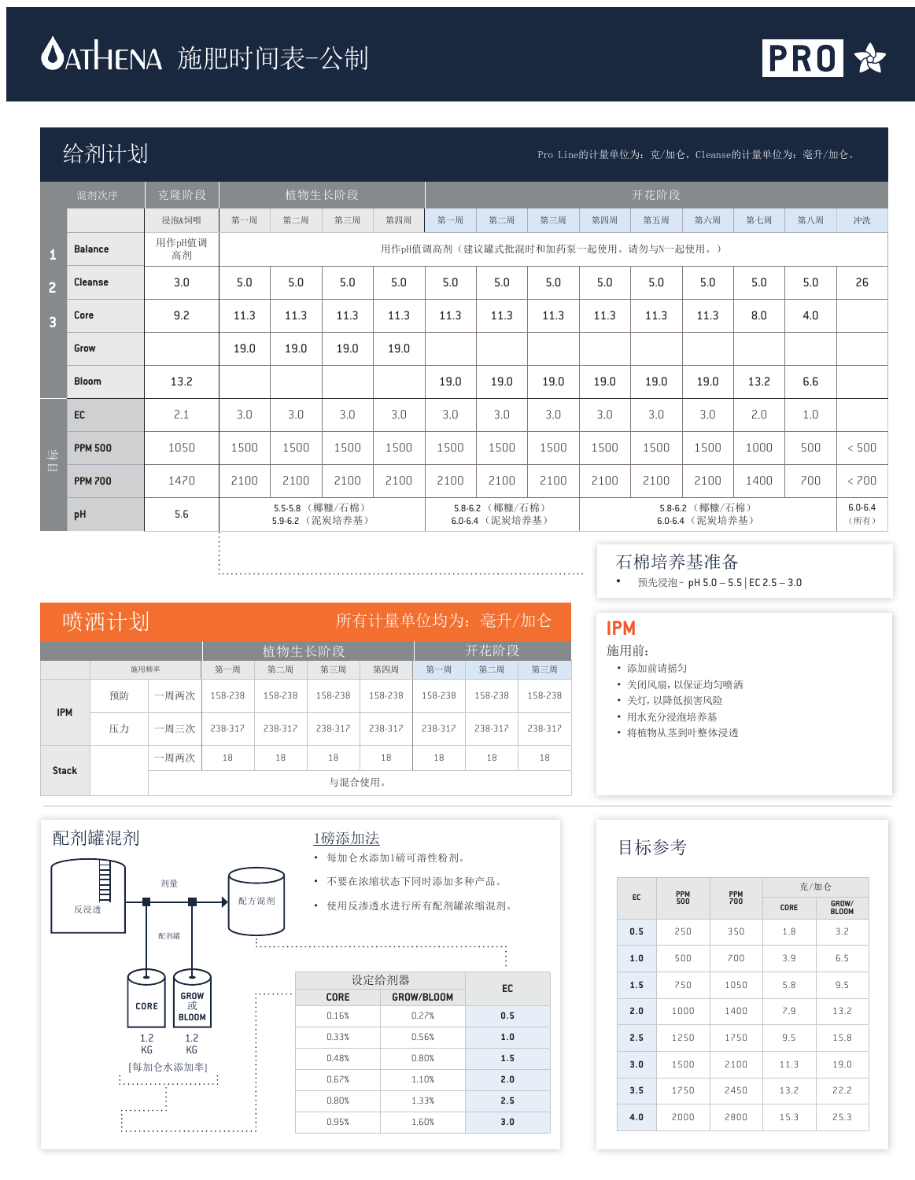# **△ATHENA** 施肥时间表-公制

÷



# $\hat{P}(\hat{m})$  Pro Line的计量单位为:克/加仑,Cleanse的计量单位为:毫升/加仑。

|                | 混剂次序           | 克隆阶段         |      |                                    | 植物生长阶段 |      |      |                                    |                                     |      | 开花阶段 |                                    |      |     |                     |
|----------------|----------------|--------------|------|------------------------------------|--------|------|------|------------------------------------|-------------------------------------|------|------|------------------------------------|------|-----|---------------------|
|                |                | 浸泡&饲喂        | 第一周  | 第二周                                | 第三周    | 第四周  | 第一周  | 第二周                                | 第三周                                 | 第四周  | 第五周  | 第六周                                | 第七周  | 第八周 | 冲洗                  |
|                | <b>Balance</b> | 用作pH值调<br>高剂 |      |                                    |        |      |      |                                    | 用作pH值调高剂(建议罐式批混时和加药泵一起使用。请勿与N一起使用。) |      |      |                                    |      |     |                     |
| $\overline{2}$ | Cleanse        | 3.0          | 5.0  | 5.0                                | 5.0    | 5.0  | 5.0  | 5.0                                | 5.0                                 | 5.0  | 5.0  | 5.0                                | 5.0  | 5.0 | 26                  |
| $\overline{3}$ | Core           | 9.2          | 11.3 | 11.3                               | 11.3   | 11.3 | 11.3 | 11.3                               | 11.3                                | 11.3 | 11.3 | 11.3                               | 8.0  | 4.0 |                     |
|                | Grow           |              | 19.0 | 19.0                               | 19.0   | 19.0 |      |                                    |                                     |      |      |                                    |      |     |                     |
|                | <b>Bloom</b>   | 13.2         |      |                                    |        |      | 19.0 | 19.0                               | 19.0                                | 19.0 | 19.0 | 19.0                               | 13.2 | 6.6 |                     |
|                | EC             | 2.1          | 3.0  | 3.0                                | 3.0    | 3.0  | 3.0  | 3.0                                | 3.0                                 | 3.0  | 3.0  | 3.0                                | 2.0  | 1.0 |                     |
| 目标             | <b>PPM 500</b> | 1050         | 1500 | 1500                               | 1500   | 1500 | 1500 | 1500                               | 1500                                | 1500 | 1500 | 1500                               | 1000 | 500 | < 500               |
|                | <b>PPM 700</b> | 1470         | 2100 | 2100                               | 2100   | 2100 | 2100 | 2100                               | 2100                                | 2100 | 2100 | 2100                               | 1400 | 700 | < 700               |
|                | pH             | 5.6          |      | 5.5-5.8 (椰糠/石棉)<br>5.9-6.2 (泥炭培养基) |        |      |      | 5.8-6.2 (椰糠/石棉)<br>6.0-6.4 (泥炭培养基) |                                     |      |      | 5.8-6.2 (椰糠/石棉)<br>6.0-6.4 (泥炭培养基) |      |     | $6.0 - 6.4$<br>(所有) |

|              | 喷洒计划       |      | 所有计量单位均为: 毫升/加仑 |         |         |         |         |         |         |  |
|--------------|------------|------|-----------------|---------|---------|---------|---------|---------|---------|--|
|              |            |      |                 | 植物生长阶段  |         | 开花阶段    |         |         |         |  |
|              | 施用频率       |      | 第一周             | 第二周     | 第三周     | 第四周     | 第一周     | 第二周     | 第三周     |  |
| <b>IPM</b>   | 预防         | 一周两次 | 158-238         | 158-238 | 158-238 | 158-238 | 158-238 | 158-238 | 158-238 |  |
|              | 压力<br>一周三次 |      | 238-312         | 238-317 | 238-312 | 238-312 | 238-312 | 238-312 | 238-312 |  |
|              |            | 一周两次 | 18              | 18      | 18      | 18      | 18      | 18      | 18      |  |
| <b>Stack</b> |            |      | 与混合使用。          |         |         |         |         |         |         |  |



## 施用前:

• 添加前请摇匀

• 关闭风扇,以保证均匀喷洒

石棉培养基准备

• 预先浸泡– pH 5.0 – 5.5 | EC 2.5 – 3.0

- 关灯,以降低损害风险
- 用水充分浸泡培养基
- 将植物从茎到叶整体浸透



## 1磅添加法

- 每加仑水添加1磅可溶性粉剂。
- 不要在浓缩状态下同时添加多种产品。
- 

|             | 设定给剂器      | <b>EC</b> |
|-------------|------------|-----------|
| <b>CORE</b> | GROW/BLOOM |           |
| 0.16%       | 0.27%      | 0.5       |
| 0.33%       | 0.56%      | 1.0       |
| 0.48%       | 0.80%      | 1.5       |
| 0.67%       | 1.10%      | 2.0       |
| 0.80%       | 1.33%      | 2.5       |
| 0.95%       | 1.60%      | 3.0       |
|             |            |           |

# 目标参考

|     | <b>PPM</b> | <b>PPM</b> | 克/加仑 |                       |
|-----|------------|------------|------|-----------------------|
| EC. | 500        | 700        | CORE | GROW/<br><b>BLOOM</b> |
| 0.5 | 250        | 350        | 1.8  | 3.2                   |
| 1.0 | 500        | 700        | 3.9  | 6.5                   |
| 1.5 | 750        | 1050       | 5.8  | 9.5                   |
| 2.0 | 1000       | 1400       | 7.9  | 13.2                  |
| 2.5 | 1250       | 1750       | 9.5  | 15.8                  |
| 3.0 | 1500       | 2100       | 11.3 | 19.0                  |
| 3.5 | 1750       | 2450       | 13.2 | 22.2                  |
| 4.0 | 2000       | 2800       | 15.3 | 25.3                  |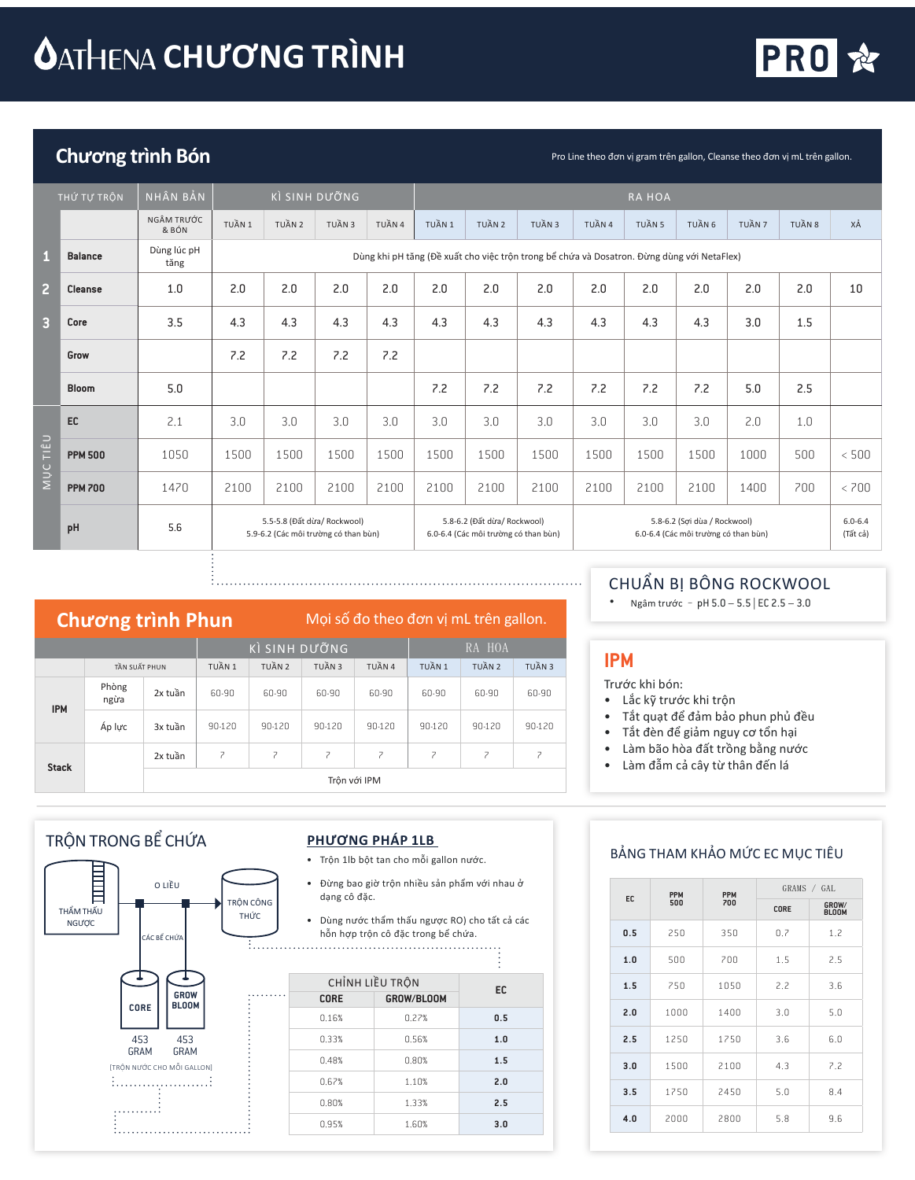# **CATHENA CHƯƠNG TRÌNH**



# Chương trình Bón **Pro Line theo đơn vị gram trên gallon**, Cleanse theo đơn vị mL trên gallon.

|                         | THỨ TỰ TRỘN    | NHÂN BẢN            |        |                                                                     | KÌ SINH DƯỜNG |        |        |                                                                     |                                                                                            |        | <b>RAHOA</b> |                                                                      |        |        |                         |
|-------------------------|----------------|---------------------|--------|---------------------------------------------------------------------|---------------|--------|--------|---------------------------------------------------------------------|--------------------------------------------------------------------------------------------|--------|--------------|----------------------------------------------------------------------|--------|--------|-------------------------|
|                         |                | NGÂM TRƯỚC<br>& BÓN | TUẦN 1 | TUẦN 2                                                              | TUẦN 3        | TUẦN 4 | TUẦN 1 | TUẦN 2                                                              | TUẦN 3                                                                                     | TUẦN 4 | TUẦN 5       | TUẦN 6                                                               | TUẦN 7 | TUẦN 8 | XÅ                      |
| $\blacksquare$          | <b>Balance</b> | Dùng lúc pH<br>tăng |        |                                                                     |               |        |        |                                                                     | Dùng khi pH tăng (Đề xuất cho việc trộn trong bể chứa và Dosatron. Đừng dùng với NetaFlex) |        |              |                                                                      |        |        |                         |
| $\overline{2}$          | <b>Cleanse</b> | 1.0                 | 2.0    | 2.0                                                                 | 2.0           | 2.0    | 2.0    | 2.0                                                                 | 2.0                                                                                        | 2.0    | 2.0          | 2.0                                                                  | 2.0    | 2.0    | 10                      |
| $\overline{\mathbf{3}}$ | Core           | 3.5                 | 4.3    | 4.3                                                                 | 4.3           | 4.3    | 4.3    | 4.3                                                                 | 4.3                                                                                        | 4.3    | 4.3          | 4.3                                                                  | 3.0    | 1.5    |                         |
|                         | Grow           |                     | 7.2    | 7.2                                                                 | 7.2           | 7.2    |        |                                                                     |                                                                                            |        |              |                                                                      |        |        |                         |
|                         | <b>Bloom</b>   | 5.0                 |        |                                                                     |               |        | 7.2    | 7.2                                                                 | 7.2                                                                                        | 7.2    | 7.2          | 7.2                                                                  | 5.0    | 2.5    |                         |
|                         | EC             | 2.1                 | 3.0    | 3.0                                                                 | 3.0           | 3.0    | 3.0    | 3.0                                                                 | 3.0                                                                                        | 3.0    | 3.0          | 3.0                                                                  | 2.0    | 1.0    |                         |
| TIÊU                    | <b>PPM 500</b> | 1050                | 1500   | 1500                                                                | 1500          | 1500   | 1500   | 1500                                                                | 1500                                                                                       | 1500   | 1500         | 1500                                                                 | 1000   | 500    | < 500                   |
| <b>NUC</b>              | <b>PPM 700</b> | 1470                | 2100   | 2100                                                                | 2100          | 2100   | 2100   | 2100                                                                | 2100                                                                                       | 2100   | 2100         | 2100                                                                 | 1400   | 700    | < 700                   |
|                         | pH             | 5.6                 |        | 5.5-5.8 (Đất dừa/ Rockwool)<br>5.9-6.2 (Các môi trường có than bùn) |               |        |        | 5.8-6.2 (Đất dừa/ Rockwool)<br>6.0-6.4 (Các môi trường có than bùn) |                                                                                            |        |              | 5.8-6.2 (Sơi dùa / Rockwool)<br>6.0-6.4 (Các môi trường có than bùn) |        |        | $6.0 - 6.4$<br>(Tất cả) |

# Chương trình

TẦN SUẤT PHUN

| rnun.  |               |        | <b>IVIOI SO QO LITEO QOTT VI ITIL LITEN RAITON.</b> |        |        |        |
|--------|---------------|--------|-----------------------------------------------------|--------|--------|--------|
|        | KÌ SINH DƯỜNG |        |                                                     |        | RA HOA |        |
| TUẦN 1 | TUẦN 2        | TUẦN 3 | TUẦN 4                                              | TUẦN 1 | TUẦN 2 | TUẦN 3 |
|        |               |        |                                                     |        |        |        |

| <b>IPM</b>   | Phòng<br>ngừa | 2x tuần | 60-90  | 60-90  | 60-90  | 60-90        | 60-90  | 60-90  | 60-90  |
|--------------|---------------|---------|--------|--------|--------|--------------|--------|--------|--------|
|              | Áp lực        | 3x tuần | 90-120 | 90-120 | 90-120 | 90-120       | 90-120 | 90-120 | 90-120 |
| <b>Stack</b> |               | 2x tuần |        |        |        |              |        |        |        |
|              |               |         |        |        |        | Trôn với IPM |        |        |        |

# TRỘN TRONG BỂ CHỨA



### **PHƯƠNG PHÁP 1LB**

- Trộn 1lb bột tan cho mỗi gallon nước.
- Đừng bao giờ trộn nhiều sản phẩm với nhau ở dạng cô đặc.
- Dùng nước thẩm thấu ngược RO) cho tất cả các hỗn hợp trộn cô đặc trong bể chứa.

| CHỈNH LIỀU TRỘN | EC         |     |
|-----------------|------------|-----|
| <b>CORE</b>     | GROW/BLOOM |     |
| 0.16%           | 0.27%      | 0.5 |
| 0.33%           | 0.56%      | 1.0 |
| 0.48%           | 0.80%      | 1.5 |
| 0.67%           | 1.10%      | 2.0 |
| 0.80%           | 1.33%      | 2.5 |
| 0.95%           | 1.60%      | 3.0 |
|                 |            |     |

# CHUẨN BỊ BÔNG ROCKWOOL

• Ngâm trước – pH 5.0 – 5.5 | EC 2.5 – 3.0

## **IPM**

- Trước khi bón:
- Lắc kỹ trước khi trộn
- Tắt quạt để đảm bảo phun phủ đều
- Tắt đèn để giảm nguy cơ tổn hại
- Làm bão hòa đất trồng bằng nước
- Làm đẫm cả cây từ thân đến lá

## BẢNG THAM KHẢO MỨC EC MỤC TIÊU

|     | <b>PPM</b> | <b>PPM</b> |             | GRAMS / GAL           |
|-----|------------|------------|-------------|-----------------------|
| EC  | 500        | 700        | <b>CORE</b> | GROW/<br><b>BLOOM</b> |
| 0.5 | 250        | 350        | 0.7         | 1.2                   |
| 1.0 | 500        | 700        | 1.5         | 2.5                   |
| 1.5 | 750        | 1050       | 2.2         | 3.6                   |
| 2.0 | 1000       | 1400       | 3.0         | 5.0                   |
| 2.5 | 1250       | 1750       | 3.6         | 6.0                   |
| 3.0 | 1500       | 2100       | 4.3         | 7.2                   |
| 3.5 | 1750       | 2450       | 5.0         | 8.4                   |
| 4.0 | 2000       | 2800       | 5.8         | 9.6                   |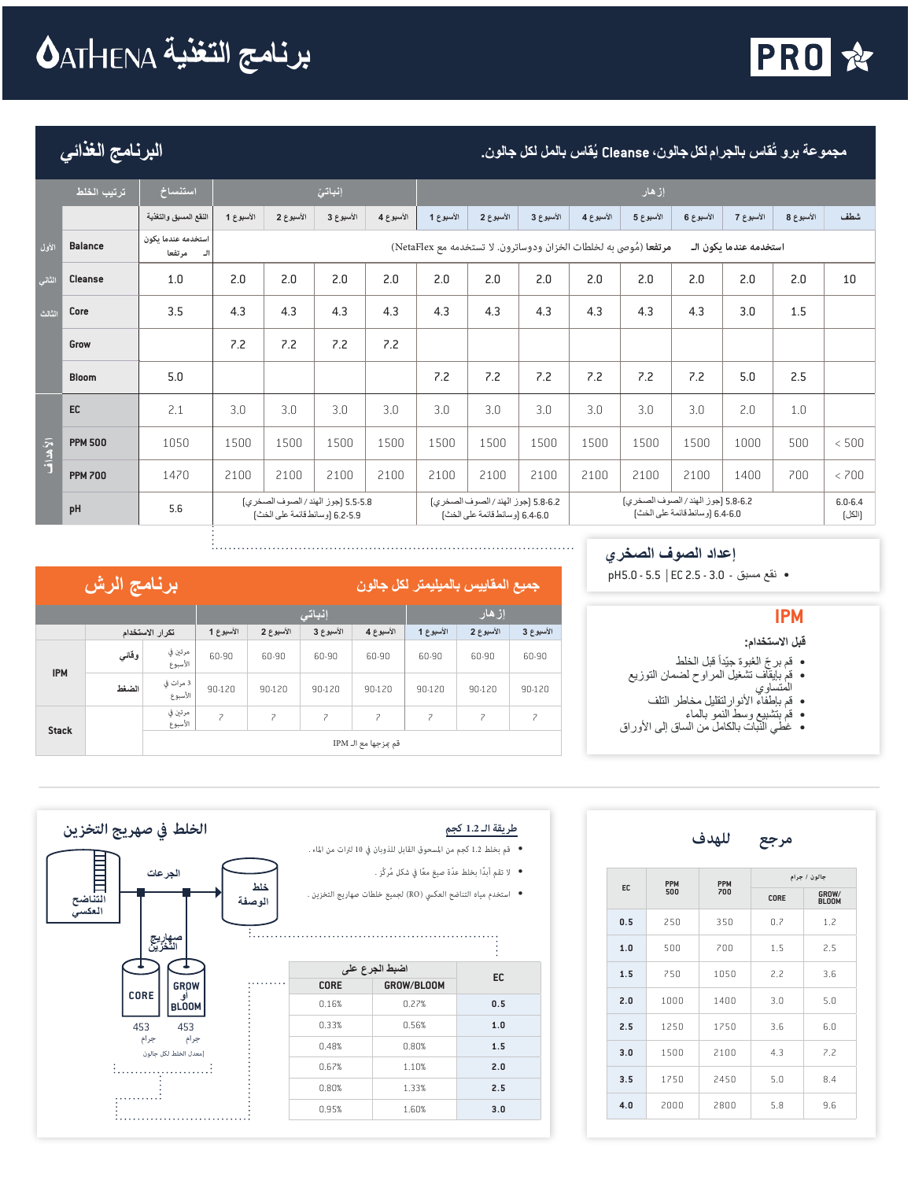# **برنامج التغذیة**



**ُقاس بالمل لكل جالون. البرنامج الغذائي ُقاس بالجراملكل جالون، Cleanse ی مجموعة برو ت**

|                                | ر ترتيب الخلط  | استنساخ                            |           |                                                                      | إنباتئ    |           |           |                                                                      |           |           | إزهار                                                             |                                |                        |           |                       |
|--------------------------------|----------------|------------------------------------|-----------|----------------------------------------------------------------------|-----------|-----------|-----------|----------------------------------------------------------------------|-----------|-----------|-------------------------------------------------------------------|--------------------------------|------------------------|-----------|-----------------------|
|                                |                | النقع المسبق والتغذية              | الأسبوع 1 | الأسبوع 2                                                            | الأسبوع 3 | الأسبوع 4 | الأسبوع 1 | الأسبوع 2                                                            | الأسبوع 3 | الأسبوع 4 | الأسبوع 5                                                         | الأسبوع 6                      | الأسبوع 7              | الأسبوع 8 | شطف                   |
| الأول                          | <b>Balance</b> | استخدمه عندما ىكون<br>مرتفعا<br>ال |           |                                                                      |           |           |           |                                                                      |           |           | مرتفعا (مُوصى به لخلطات الخزان ودوساترون. لا تستخدمه مع NetaFlex) |                                | استخدمه عندما ىكون الـ |           |                       |
| الثاني                         | <b>Cleanse</b> | 1.0                                | 2.0       | 2.0                                                                  | 2.0       | 2.0       | 2.0       | 2.0                                                                  | 2.0       | 2.0       | 2.0                                                               | 2.0                            | 2.0                    | 2.0       | 10                    |
| الثالث                         | Core           | 3.5                                | 4.3       | 4.3                                                                  | 4.3       | 4.3       | 4.3       | 4.3                                                                  | 4.3       | 4.3       | 4.3                                                               | 4.3                            | 3.0                    | 1.5       |                       |
|                                | Grow           |                                    | 7.2       | 7.2                                                                  | 7.2       | 7.2       |           |                                                                      |           |           |                                                                   |                                |                        |           |                       |
|                                | <b>Bloom</b>   | 5.0                                |           |                                                                      |           |           | 7.2       | 7.2                                                                  | 7.2       | 7.2       | 7.2                                                               | 7.2                            | 5.0                    | 2.5       |                       |
|                                | EC             | 2.1                                | 3.0       | 3.0                                                                  | 3.0       | 3.0       | 3.0       | 3.0                                                                  | 3.0       | 3.0       | 3.0                                                               | 3.0                            | 2.0                    | 1.0       |                       |
| $\frac{1}{k}$ at $\frac{1}{k}$ | <b>PPM 500</b> | 1050                               | 1500      | 1500                                                                 | 1500      | 1500      | 1500      | 1500                                                                 | 1500      | 1500      | 1500                                                              | 1500                           | 1000                   | 500       | < 500                 |
|                                | <b>PPM 700</b> | 1470                               | 2100      | 2100                                                                 | 2100      | 2100      | 2100      | 2100                                                                 | 2100      | 2100      | 2100                                                              | 2100                           | 1400                   | 700       | < 700                 |
|                                | pH             | 5.6                                |           | 5.5-5.8 [جوز الهند / الصوف الصخرى]<br>6.2-5.9 [وسائط قائمة على الخث] |           |           |           | 5.8-6.2 [جوز الهند / الصوف الصخري]<br>6.4-6.0 [وسائط قائمة على الخث] |           |           | 5.8-6.2 [جوز الهند / الصوف الصخري]                                | 6.4-6.0 [وسائط قائمة على الخث] |                        |           | $6.0 - 6.4$<br>[الكل] |

#### **إعداد الصوف الصخري**

• نقع مسبق - 3.0 - 2.5 EC | 5.5 - 5.0pH

## **IPM**

#### **قبل الاستخدام:**

- قم برجّ العُبوة جيّداً قبل الخلط
- قم بإیقاف تشغیل المراوح لضمان التوزیع
	- المتساوي
	- قم بإطفاء الأنوارلتقلیل مخاطر التلف
	- قم بتشبیع وسط النمو بالماء
- غطي النبات بالكامل من الساق إلى الأوراق

|              | برنامج الرش |                      |                          |           |            |                          | جميع المقاييس بالميليمتر لكل جالون |                          |                          |
|--------------|-------------|----------------------|--------------------------|-----------|------------|--------------------------|------------------------------------|--------------------------|--------------------------|
|              |             |                      |                          |           | إنباتى     | إزهار                    |                                    |                          |                          |
|              |             | تكرار الاستخدام      | الأسبوع 1                | الأسبوع 2 | الأسبوع 3  | الأسبوع 4                | الأسبوع 1                          | الأسبوع 2                | الأسبوع 3                |
| <b>IPM</b>   | وقانى       | مرتين في<br>الأسبوع  | 60-90                    | 60-90     | 60-90      | 60-90                    | 60-90                              | 60-90                    | 60-90                    |
|              | الضغط       | 3 مرات في<br>الأسبوع | 90-120                   | 90-120    | $90 - 120$ | 90-120                   | 90-120                             | 90-120                   | 90-120                   |
| <b>Stack</b> |             | مرتين في<br>الأسبوع  | $\overline{\phantom{a}}$ | 7         | 7          | $\overline{\phantom{a}}$ | $\overline{\phantom{a}}$           | $\overline{\phantom{a}}$ | $\overline{\phantom{a}}$ |
|              |             |                      |                          |           |            | قم مزجها مع الـ IPM      |                                    |                          |                          |

Ł.,

|     |            | للهدف      | مرجع |                       |
|-----|------------|------------|------|-----------------------|
|     | <b>PPM</b> | <b>PPM</b> |      | جالون / جرام          |
| EC  | 500        | 700        | CORE | GROW/<br><b>BLOOM</b> |
| 0.5 | 250        | 350        | 0.7  | 1.2                   |
| 1.0 | 500        | 700        | 1.5  | 2.5                   |
| 1.5 | 750        | 1050       | 2.2  | 3.6                   |
| 2.0 | 1000       | 1400       | 3.0  | 5.0                   |
| 2.5 | 1250       | 1750       | 3.6  | 6.0                   |
| 3.0 | 1500       | 2100       | 4.3  | 7.2                   |
| 3.5 | 1750       | 2450       | 5.0  | 8.4                   |

**4.0** 2000 2800 5.8 9.6

- -
- 

| EC  | اضبط الجرع على |             |  |
|-----|----------------|-------------|--|
|     | GROW/BLOOM     | <b>CORE</b> |  |
| 0.5 | 0.27%          | 0.16%       |  |
| 1.0 | 0.56%          | 0.33%       |  |
| 1.5 | 0.80%          | 0.48%       |  |
| 2.0 | 1.10%          | 0.67%       |  |
| 2.5 | 1.33%          | 0.80%       |  |
| 3.0 | 1.60%          | 0.95%       |  |



المسمو

i..........................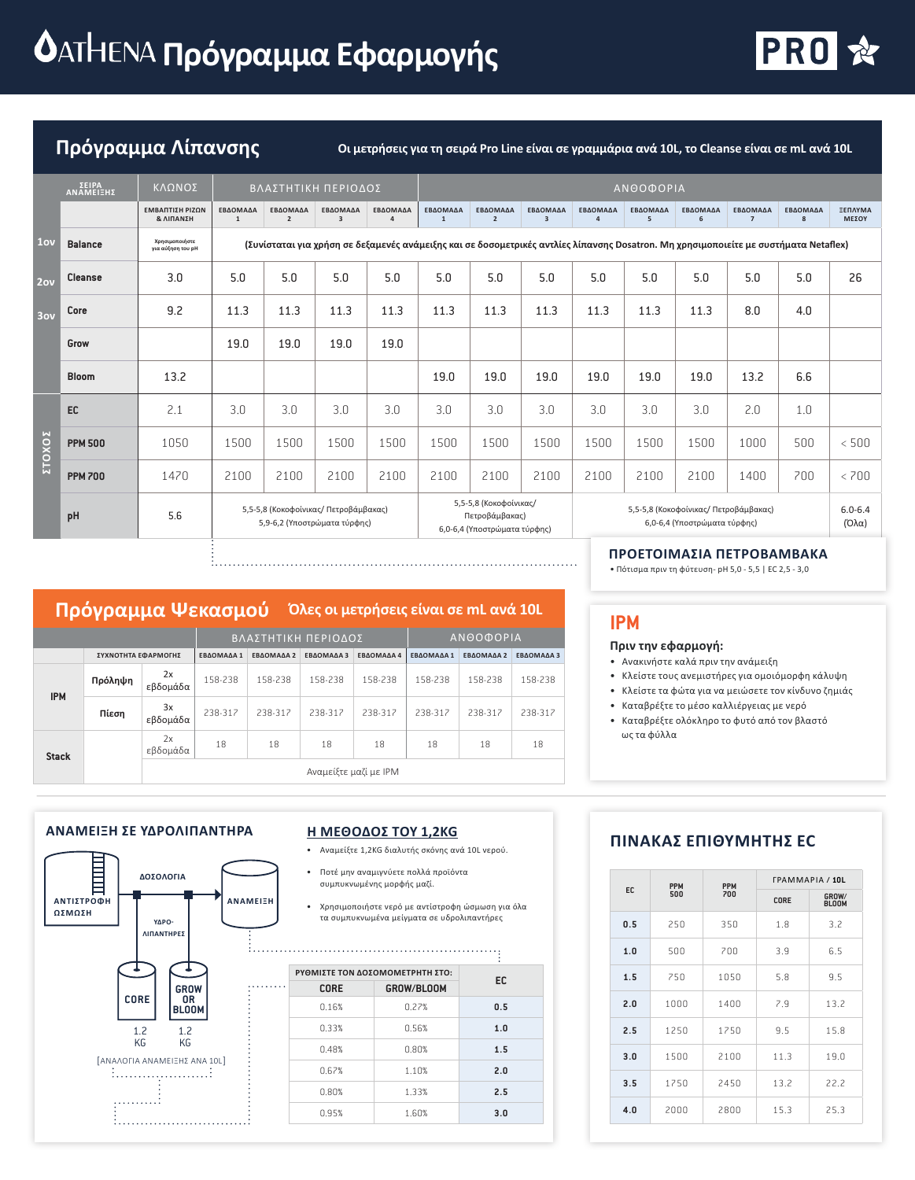# **Δ**ΑΤΗΕΝΑ Πρόγραμμα Εφαρμογής



**Πρόγραμμα Λίπανσης Οι μετρήσεις για τη σειρά Pro Line είναι σε γραμμάρια ανά 10L, το Cleanse είναι σε mL ανά 10L**

|        | ΣΕΙΡΑ<br>ΑΝΑΜΕΙΞΗΣ | ΚΛΩΝΟΣ                                  |                   | ΒΛΑΣΤΗΤΙΚΗ ΠΕΡΙΟΔΟΣ                                                                                                                  |                                     |                            |                          |                                                                          |                                     |               | ΑΝΘΟΦΟΡΙΑ     |                                                                       |                            |               |                      |
|--------|--------------------|-----------------------------------------|-------------------|--------------------------------------------------------------------------------------------------------------------------------------|-------------------------------------|----------------------------|--------------------------|--------------------------------------------------------------------------|-------------------------------------|---------------|---------------|-----------------------------------------------------------------------|----------------------------|---------------|----------------------|
|        |                    | ΕΜΒΑΠΤΙΣΗ ΡΙΖΩΝ<br><b>&amp; ΛΙΠΑΝΣΗ</b> | ΕΒΔΟΜΑΔΑ<br>$1\,$ | ΕΒΔΟΜΑΔΑ<br>$\overline{2}$                                                                                                           | ΕΒΔΟΜΑΔΑ<br>$\overline{\mathbf{3}}$ | ΕΒΔΟΜΑΔΑ<br>$\overline{a}$ | ΕΒΔΟΜΑΔΑ<br>$\mathbf{1}$ | ΕΒΔΟΜΑΔΑ<br>$\overline{2}$                                               | ΕΒΔΟΜΑΔΑ<br>$\overline{\mathbf{3}}$ | ΕΒΔΟΜΑΔΑ<br>4 | ΕΒΔΟΜΑΔΑ<br>5 | ΕΒΔΟΜΑΔΑ<br>6                                                         | ΕΒΔΟΜΑΔΑ<br>$\overline{7}$ | ΕΒΔΟΜΑΔΑ<br>8 | ΞΕΠΛΥΜΑ<br>ΜΕΣΟΥ     |
| 1ov    | <b>Balance</b>     | Χρησιμοποιήστε<br>για αύξηση του pH     |                   | (Συνίσταται για χρήση σε δεξαμενές ανάμειξης και σε δοσομετρικές αντλίες λίπανσης Dosatron. Μη χρησιμοποιείτε με συστήματα Netaflex) |                                     |                            |                          |                                                                          |                                     |               |               |                                                                       |                            |               |                      |
| 2ov    | Cleanse            | 3.0                                     | 5.0               | 5.0                                                                                                                                  | 5.0                                 | 5.0                        | 5.0                      | 5.0                                                                      | 5.0                                 | 5.0           | 5.0           | 5.0                                                                   | 5.0                        | 5.0           | 26                   |
| 3ov    | Core               | 9.2                                     | 11.3              | 11.3                                                                                                                                 | 11.3                                | 11.3                       | 11.3                     | 11.3                                                                     | 11.3                                | 11.3          | 11.3          | 11.3                                                                  | 8.0                        | 4.0           |                      |
|        | Grow               |                                         | 19.0              | 19.0                                                                                                                                 | 19.0                                | 19.0                       |                          |                                                                          |                                     |               |               |                                                                       |                            |               |                      |
|        | <b>Bloom</b>       | 13.2                                    |                   |                                                                                                                                      |                                     |                            | 19.0                     | 19.0                                                                     | 19.0                                | 19.0          | 19.0          | 19.0                                                                  | 13.2                       | 6.6           |                      |
|        | EC                 | 2.1                                     | 3.0               | 3.0                                                                                                                                  | 3.0                                 | 3.0                        | 3.0                      | 3.0                                                                      | 3.0                                 | 3.0           | 3.0           | 3.0                                                                   | 2.0                        | 1.0           |                      |
| ΣΤΟΧΟΣ | <b>PPM 500</b>     | 1050                                    | 1500              | 1500                                                                                                                                 | 1500                                | 1500                       | 1500                     | 1500                                                                     | 1500                                | 1500          | 1500          | 1500                                                                  | 1000                       | 500           | < 500                |
|        | <b>PPM 700</b>     | 1470                                    | 2100              | 2100                                                                                                                                 | 2100                                | 2100                       | 2100                     | 2100                                                                     | 2100                                | 2100          | 2100          | 2100                                                                  | 1400                       | 700           | < 700                |
|        | pH                 | 5.6                                     |                   | 5,5-5,8 (Κοκοφοίνικας/ Πετροβάμβακας)<br>5,9-6,2 (Υποστρώματα τύρφης)                                                                |                                     |                            |                          | 5,5-5,8 (Κοκοφοίνικας/<br>Πετροβάμβακας)<br>6,0-6,4 (Υποστρώματα τύρφης) |                                     |               |               | 5,5-5,8 (Κοκοφοίνικας/ Πετροβάμβακας)<br>6,0-6,4 (Υποστρώματα τύρφης) |                            |               | $6.0 - 6.4$<br>(Όλα) |

# **Πρόγραμμα Ψεκασμού Όλες οι μετρήσεις είναι σε mL ανά 10L**

|              |                     |                |            | ΒΛΑΣΤΗΤΙΚΗ ΠΕΡΙΟΔΟΣ |                       |            | <b>ANOOOOPIA</b> |            |            |  |
|--------------|---------------------|----------------|------------|---------------------|-----------------------|------------|------------------|------------|------------|--|
|              | ΣΥΧΝΟΤΗΤΑ ΕΦΑΡΜΟΓΗΣ |                | ΕΒΔΟΜΑΔΑ 1 | ΕΒΔΟΜΑΔΑ 2          | ΕΒΔΟΜΑΔΑ 3            | ΕΒΔΟΜΑΔΑ 4 | ΕΒΔΟΜΑΔΑ 1       | ΕΒΔΟΜΑΔΑ 2 | ΕΒΔΟΜΑΔΑ 3 |  |
| <b>IPM</b>   | Πρόληψη             | 2x<br>εβδομάδα | 158-238    | 158-238             | 158-238               | 158-238    | 158-238          | 158-238    | 158-238    |  |
|              | Πίεση               | 3x<br>εβδομάδα | 238-317    | 238-317             | 238-312               | 238-317    | 238-317          | 238-317    | 238-317    |  |
| <b>Stack</b> |                     | 2x<br>εβδομάδα | 18         | 18                  | 18                    | 18         | 18               | 18         | 18         |  |
|              |                     |                |            |                     | Αναμείξτε μαζί με ΙΡΜ |            |                  |            |            |  |

## **IPM**

#### **Πριν την εφαρμογή:**

- Ανακινήστε καλά πριν την ανάμειξη
- Κλείστε τους ανεμιστήρες για ομοιόμορφη κάλυψη
- Κλείστε τα φώτα για να μειώσετε τον κίνδυνο ζημιάς

**ΠΡΟΕΤΟΙΜΑΣΙΑ ΠΕΤΡΟΒΑΜΒΑΚΑ** • Πότισμα πριν τη φύτευση- pH 5,0 - 5,5 | EC 2,5 - 3,0

- Καταβρέξτε το μέσο καλλιέργειας με νερό
- Καταβρέξτε ολόκληρο το φυτό από τον βλαστό ως τα φύλλα

#### **ΑΝΑΜΕΙΞΗ ΣΕ ΥΔΡΟΛΙΠΑΝΤΗΡΑ**



#### **Η ΜΕΘΟΔΟΣ ΤΟΥ 1,2KG**

- Αναμείξτε 1,2KG διαλυτής σκόνης ανά 10L νερού.
- Ποτέ μην αναμιγνύετε πολλά προϊόντα συμπυκνωμένης μορφής μαζί.
- Χρησιμοποιήστε νερό με αντίστροφη ώσμωση για όλα τα συμπυκνωμένα μείγματα σε υδρολιπαντήρες

|            | ΡΥΘΜΙΣΤΕ ΤΟΝ ΔΟΣΟΜΟΜΕΤΡΗΤΗ ΣΤΟ: | EC  |
|------------|---------------------------------|-----|
| GROW/BLOOM | <b>CORE</b>                     |     |
| 0.27%      | 0.16%                           | 0.5 |
| 0.56%      | 0.33%                           | 1.0 |
| 0.80%      | 0.48%                           | 1.5 |
| 1.10%      | 0.67%                           | 2.0 |
| 1.33%      | 0.80%                           | 2.5 |
| 1.60%      | 0.95%                           | 3.0 |
|            |                                 |     |

## **ΠΙΝΑΚΑΣ ΕΠΙΘΥΜΗΤΗΣ EC**

|     | <b>PPM</b> | <b>PPM</b> | <b><i>FPAMMAPIA</i></b> / 10L |                       |
|-----|------------|------------|-------------------------------|-----------------------|
| EC  | 500        | 700        | CORE                          | GROW/<br><b>BLOOM</b> |
| 0.5 | 250        | 350        | 1.8                           | 3.2                   |
| 1.0 | 500        | 700        | 3.9                           | 6.5                   |
| 1.5 | 750        | 1050       | 5.8                           | 9.5                   |
| 2.0 | 1000       | 1400       | 7.9                           | 13.2                  |
| 2.5 | 1250       | 1750       | 9.5                           | 15.8                  |
| 3.0 | 1500       | 2100       | 11.3                          | 19.0                  |
| 3.5 | 1750       | 2450       | 13.2                          | 22.2                  |
| 4.0 | 2000       | 2800       | 15.3                          | 25.3                  |